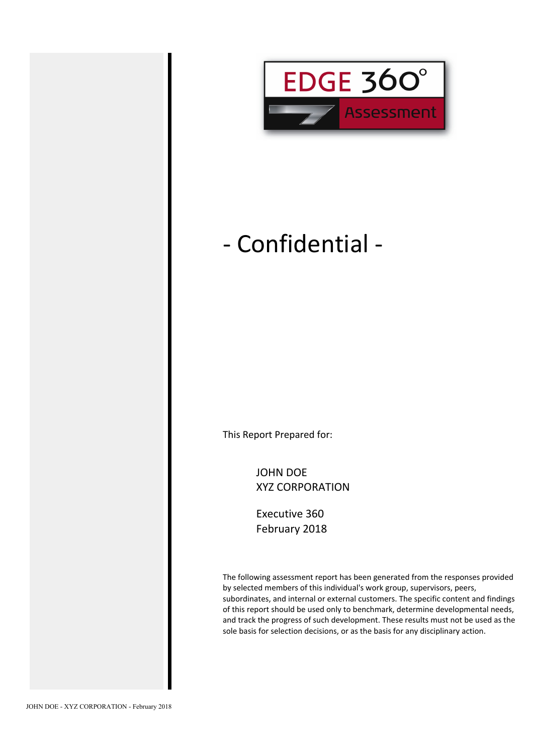

# - Confidential -

This Report Prepared for:

JOHN DOE XYZ CORPORATION

Executive 360 February 2018

The following assessment report has been generated from the responses provided by selected members of this individual's work group, supervisors, peers, subordinates, and internal or external customers. The specific content and findings of this report should be used only to benchmark, determine developmental needs, and track the progress of such development. These results must not be used as the sole basis for selection decisions, or as the basis for any disciplinary action.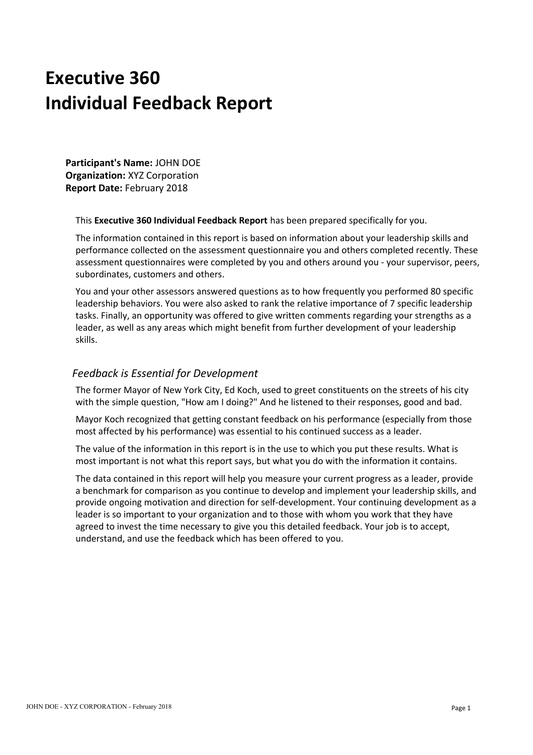# **Executive 360 Individual Feedback Report**

**Participant's Name:** JOHN DOE **Organization:** XYZ Corporation **Report Date:** February 2018

This **Executive 360 Individual Feedback Report** has been prepared specifically for you.

The information contained in this report is based on information about your leadership skills and performance collected on the assessment questionnaire you and others completed recently. These assessment questionnaires were completed by you and others around you - your supervisor, peers, subordinates, customers and others.

You and your other assessors answered questions as to how frequently you performed 80 specific leadership behaviors. You were also asked to rank the relative importance of 7 specific leadership tasks. Finally, an opportunity was offered to give written comments regarding your strengths as a leader, as well as any areas which might benefit from further development of your leadership skills.

### *Feedback is Essential for Development*

The former Mayor of New York City, Ed Koch, used to greet constituents on the streets of his city with the simple question, "How am I doing?" And he listened to their responses, good and bad.

Mayor Koch recognized that getting constant feedback on his performance (especially from those most affected by his performance) was essential to his continued success as a leader.

The value of the information in this report is in the use to which you put these results. What is most important is not what this report says, but what you do with the information it contains.

The data contained in this report will help you measure your current progress as a leader, provide a benchmark for comparison as you continue to develop and implement your leadership skills, and provide ongoing motivation and direction for self-development. Your continuing development as a leader is so important to your organization and to those with whom you work that they have agreed to invest the time necessary to give you this detailed feedback. Your job is to accept, understand, and use the feedback which has been offered to you.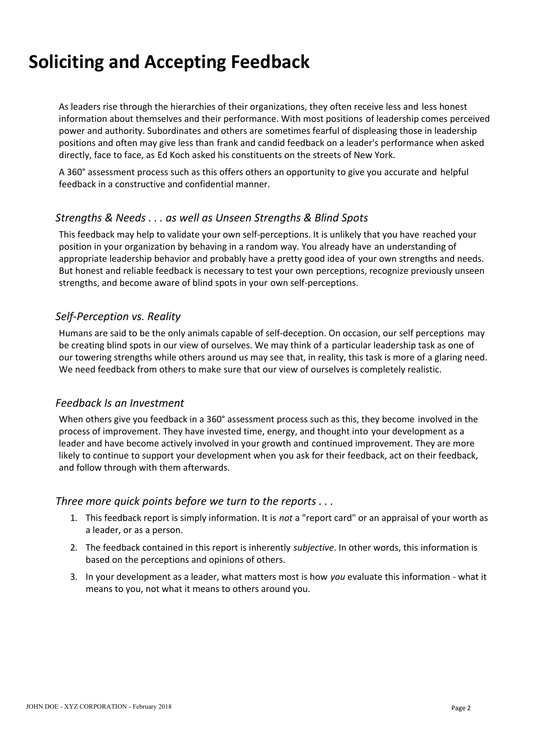# **Soliciting and Accepting Feedback**

As leaders rise through the hierarchies of their organizations, they often receive less and less honest information about themselves and their performance. With most positions of leadership comes perceived power and authority. Subordinates and others are sometimes fearful of displeasing those in leadership positions and often may give less than frank and candid feedback on a leader's performance when asked directly, face to face, as Ed Koch asked his constituents on the streets of New York.

A 360° assessment process such as this offers others an opportunity to give you accurate and helpful feedback in a constructive and confidential manner.

### *Strengths & Needs . . . as well as Unseen Strengths & Blind Spots*

This feedback may help to validate your own self-perceptions. It is unlikely that you have reached your position in your organization by behaving in a random way. You already have an understanding of appropriate leadership behavior and probably have a pretty good idea of your own strengths and needs. But honest and reliable feedback is necessary to test your own perceptions, recognize previously unseen strengths, and become aware of blind spots in your own self-perceptions.

### *Self-Perception vs. Reality*

Humans are said to be the only animals capable of self-deception. On occasion, our self perceptions may be creating blind spots in our view of ourselves. We may think of a particular leadership task as one of our towering strengths while others around us may see that, in reality, this task is more of a glaring need. We need feedback from others to make sure that our view of ourselves is completely realistic.

### *Feedback Is an Investment*

When others give you feedback in a 360° assessment process such as this, they become involved in the process of improvement. They have invested time, energy, and thought into your development as a leader and have become actively involved in your growth and continued improvement. They are more likely to continue to support your development when you ask for their feedback, act on their feedback, and follow through with them afterwards.

### *Three more quick points before we turn to the reports . . .*

- 1. This feedback report is simply information. It is *not* a "report card" or an appraisal of your worth as a leader, or as a person.
- 2. The feedback contained in this report is inherently *subjective*. In other words, this information is based on the perceptions and opinions of others.
- 3. In your development as a leader, what matters most is how *you* evaluate this information what it means to you, not what it means to others around you.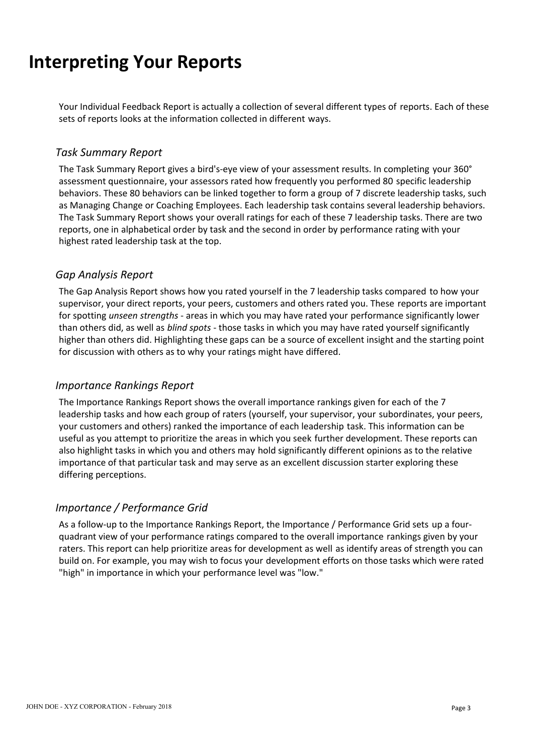# **Interpreting Your Reports**

Your Individual Feedback Report is actually a collection of several different types of reports. Each of these sets of reports looks at the information collected in different ways.

### *Task Summary Report*

The Task Summary Report gives a bird's-eye view of your assessment results. In completing your 360° assessment questionnaire, your assessors rated how frequently you performed 80 specific leadership behaviors. These 80 behaviors can be linked together to form a group of 7 discrete leadership tasks, such as Managing Change or Coaching Employees. Each leadership task contains several leadership behaviors. The Task Summary Report shows your overall ratings for each of these 7 leadership tasks. There are two reports, one in alphabetical order by task and the second in order by performance rating with your highest rated leadership task at the top.

### *Gap Analysis Report*

The Gap Analysis Report shows how you rated yourself in the 7 leadership tasks compared to how your supervisor, your direct reports, your peers, customers and others rated you. These reports are important for spotting *unseen strengths* - areas in which you may have rated your performance significantly lower than others did, as well as *blind spots* - those tasks in which you may have rated yourself significantly higher than others did. Highlighting these gaps can be a source of excellent insight and the starting point for discussion with others as to why your ratings might have differed.

### *Importance Rankings Report*

The Importance Rankings Report shows the overall importance rankings given for each of the 7 leadership tasks and how each group of raters (yourself, your supervisor, your subordinates, your peers, your customers and others) ranked the importance of each leadership task. This information can be useful as you attempt to prioritize the areas in which you seek further development. These reports can also highlight tasks in which you and others may hold significantly different opinions as to the relative importance of that particular task and may serve as an excellent discussion starter exploring these differing perceptions.

### *Importance / Performance Grid*

As a follow-up to the Importance Rankings Report, the Importance / Performance Grid sets up a fourquadrant view of your performance ratings compared to the overall importance rankings given by your raters. This report can help prioritize areas for development as well as identify areas of strength you can build on. For example, you may wish to focus your development efforts on those tasks which were rated "high" in importance in which your performance level was "low."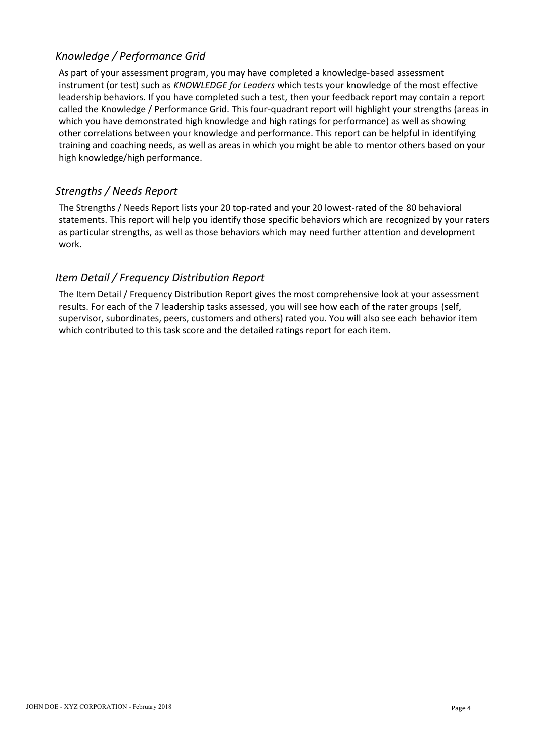As part of your assessment program, you may have completed a knowledge-based assessment instrument (or test) such as *KNOWLEDGE for Leaders* which tests your knowledge of the most effective leadership behaviors. If you have completed such a test, then your feedback report may contain a report called the Knowledge / Performance Grid. This four-quadrant report will highlight your strengths (areas in which you have demonstrated high knowledge and high ratings for performance) as well as showing other correlations between your knowledge and performance. This report can be helpful in identifying training and coaching needs, as well as areas in which you might be able to mentor others based on your high knowledge/high performance.

### *Strengths / Needs Report*

The Strengths / Needs Report lists your 20 top-rated and your 20 lowest-rated of the 80 behavioral statements. This report will help you identify those specific behaviors which are recognized by your raters as particular strengths, as well as those behaviors which may need further attention and development work.

### *Item Detail / Frequency Distribution Report*

The Item Detail / Frequency Distribution Report gives the most comprehensive look at your assessment results. For each of the 7 leadership tasks assessed, you will see how each of the rater groups (self, supervisor, subordinates, peers, customers and others) rated you. You will also see each behavior item which contributed to this task score and the detailed ratings report for each item.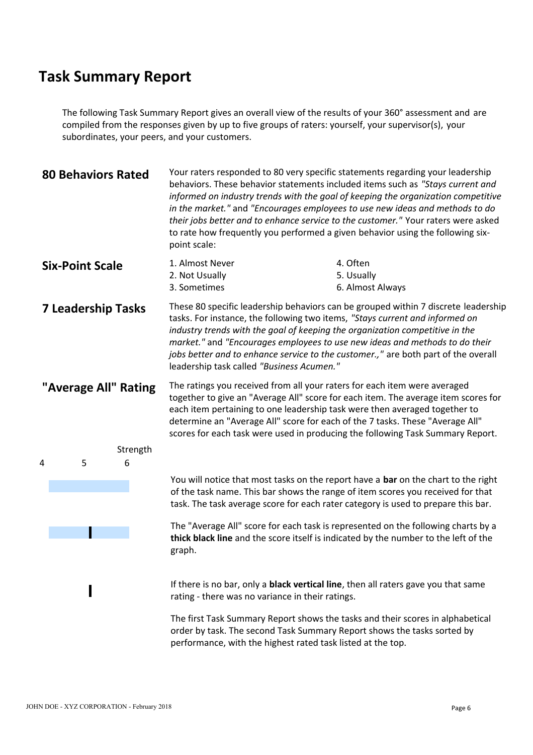The following Task Summary Report gives an overall view of the results of your 360° assessment and are compiled from the responses given by up to five groups of raters: yourself, your supervisor(s), your subordinates, your peers, and your customers.

| <b>80 Behaviors Rated</b> | Your raters responded to 80 very specific statements regarding your leadership<br>behaviors. These behavior statements included items such as "Stays current and<br>informed on industry trends with the goal of keeping the organization competitive<br>in the market." and "Encourages employees to use new ideas and methods to do<br>their jobs better and to enhance service to the customer." Your raters were asked<br>to rate how frequently you performed a given behavior using the following six-<br>point scale: |  |  |  |  |  |  |  |
|---------------------------|------------------------------------------------------------------------------------------------------------------------------------------------------------------------------------------------------------------------------------------------------------------------------------------------------------------------------------------------------------------------------------------------------------------------------------------------------------------------------------------------------------------------------|--|--|--|--|--|--|--|
| <b>Six-Point Scale</b>    | 1. Almost Never<br>4. Often<br>2. Not Usually<br>5. Usually<br>3. Sometimes<br>6. Almost Always                                                                                                                                                                                                                                                                                                                                                                                                                              |  |  |  |  |  |  |  |
| <b>7 Leadership Tasks</b> | These 80 specific leadership behaviors can be grouped within 7 discrete leadership<br>tasks. For instance, the following two items, "Stays current and informed on<br>industry trends with the goal of keeping the organization competitive in the<br>market." and "Encourages employees to use new ideas and methods to do their<br>jobs better and to enhance service to the customer.," are both part of the overall<br>leadership task called "Business Acumen."                                                         |  |  |  |  |  |  |  |
| "Average All" Rating      | The ratings you received from all your raters for each item were averaged<br>together to give an "Average All" score for each item. The average item scores for<br>each item pertaining to one leadership task were then averaged together to<br>determine an "Average All" score for each of the 7 tasks. These "Average All"<br>scores for each task were used in producing the following Task Summary Report.                                                                                                             |  |  |  |  |  |  |  |
| Strength<br>6<br>5.       |                                                                                                                                                                                                                                                                                                                                                                                                                                                                                                                              |  |  |  |  |  |  |  |
|                           | You will notice that most tasks on the report have a bar on the chart to the right<br>of the task name. This bar shows the range of item scores you received for that<br>task. The task average score for each rater category is used to prepare this bar.                                                                                                                                                                                                                                                                   |  |  |  |  |  |  |  |
|                           | The "Average All" score for each task is represented on the following charts by a<br>thick black line and the score itself is indicated by the number to the left of the<br>graph.                                                                                                                                                                                                                                                                                                                                           |  |  |  |  |  |  |  |
|                           | If there is no bar, only a <b>black vertical line</b> , then all raters gave you that same<br>rating - there was no variance in their ratings.                                                                                                                                                                                                                                                                                                                                                                               |  |  |  |  |  |  |  |

The first Task Summary Report shows the tasks and their scores in alphabetical order by task. The second Task Summary Report shows the tasks sorted by performance, with the highest rated task listed at the top.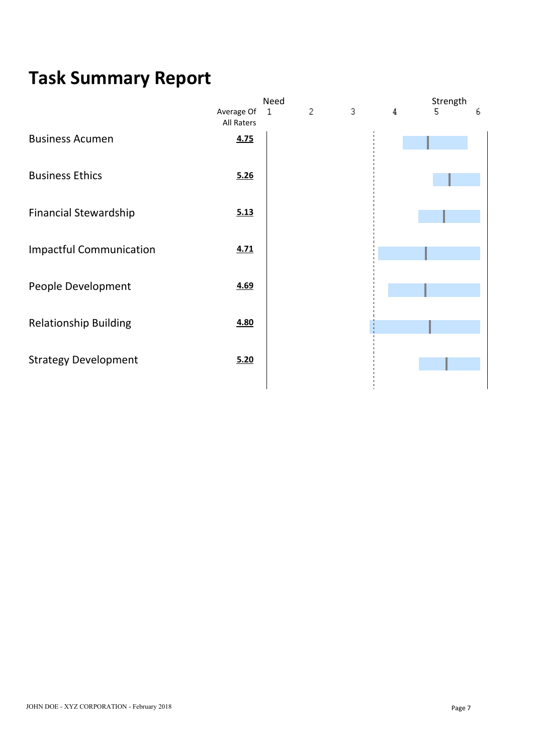|                                |                          | Need |   |   |   | Strength |   |
|--------------------------------|--------------------------|------|---|---|---|----------|---|
|                                | Average Of<br>All Raters | 1    | 2 | 3 | 4 | 5.       | 6 |
| <b>Business Acumen</b>         | 4.75                     |      |   |   |   |          |   |
| <b>Business Ethics</b>         | 5.26                     |      |   |   |   |          |   |
| <b>Financial Stewardship</b>   | 5.13                     |      |   |   |   |          |   |
| <b>Impactful Communication</b> | 4.71                     |      |   |   |   |          |   |
| People Development             | 4.69                     |      |   |   |   |          |   |
| <b>Relationship Building</b>   | 4.80                     |      |   |   |   |          |   |
| <b>Strategy Development</b>    | 5.20                     |      |   |   |   |          |   |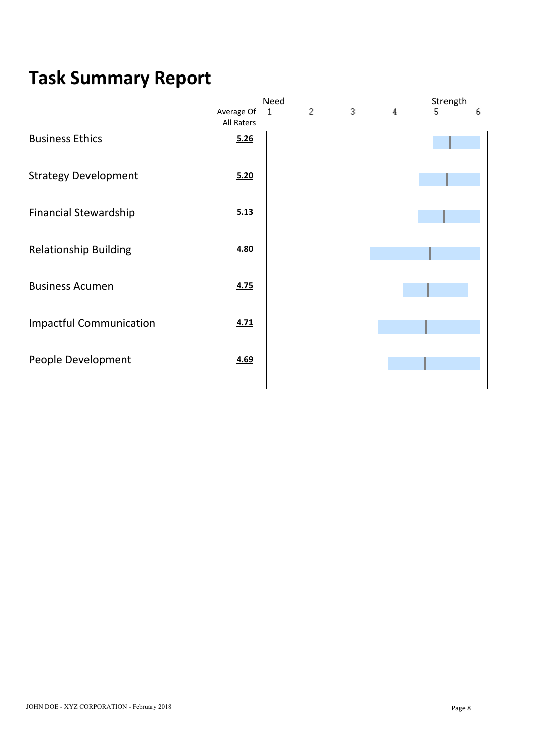|                                |                          | Need |                |   |   | Strength |   |
|--------------------------------|--------------------------|------|----------------|---|---|----------|---|
|                                | Average Of<br>All Raters | 1    | $\overline{c}$ | 3 | 4 | 5.       | 6 |
| <b>Business Ethics</b>         | 5.26                     |      |                |   |   |          |   |
| <b>Strategy Development</b>    | 5.20                     |      |                |   |   |          |   |
| <b>Financial Stewardship</b>   | 5.13                     |      |                |   |   |          |   |
| <b>Relationship Building</b>   | 4.80                     |      |                |   |   |          |   |
| <b>Business Acumen</b>         | 4.75                     |      |                |   |   |          |   |
| <b>Impactful Communication</b> | 4.71                     |      |                |   |   |          |   |
| People Development             | 4.69                     |      |                |   |   |          |   |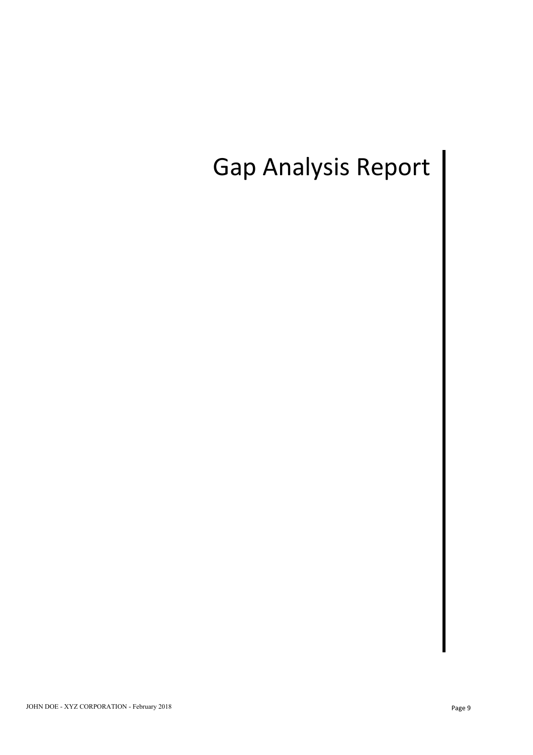# Gap Analysis Report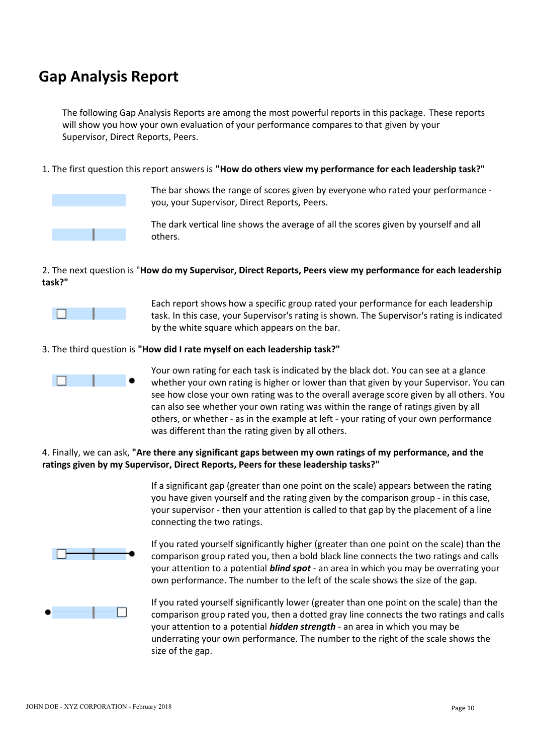## **Gap Analysis Report**

The following Gap Analysis Reports are among the most powerful reports in this package. These reports will show you how your own evaluation of your performance compares to that given by your Supervisor, Direct Reports, Peers.

1. The first question this report answers is **"How do others view my performance for each leadership task?"**



The bar shows the range of scores given by everyone who rated your performance you, your Supervisor, Direct Reports, Peers.

The dark vertical line shows the average of all the scores given by yourself and all others.

### 2. The next question is "**How do my Supervisor, Direct Reports, Peers view my performance for each leadership task?"**



Each report shows how a specific group rated your performance for each leadership task. In this case, your Supervisor's rating is shown. The Supervisor's rating is indicated by the white square which appears on the bar.

### 3. The third question is **"How did I rate myself on each leadership task?"**



Your own rating for each task is indicated by the black dot. You can see at a glance whether your own rating is higher or lower than that given by your Supervisor. You can see how close your own rating was to the overall average score given by all others. You can also see whether your own rating was within the range of ratings given by all others, or whether - as in the example at left - your rating of your own performance was different than the rating given by all others.

### 4. Finally, we can ask, **"Are there any significant gaps between my own ratings of my performance, and the ratings given by my Supervisor, Direct Reports, Peers for these leadership tasks?"**

If a significant gap (greater than one point on the scale) appears between the rating you have given yourself and the rating given by the comparison group - in this case, your supervisor - then your attention is called to that gap by the placement of a line connecting the two ratings.



If you rated yourself significantly higher (greater than one point on the scale) than the comparison group rated you, then a bold black line connects the two ratings and calls your attention to a potential *blind spot* - an area in which you may be overrating your own performance. The number to the left of the scale shows the size of the gap.



If you rated yourself significantly lower (greater than one point on the scale) than the comparison group rated you, then a dotted gray line connects the two ratings and calls your attention to a potential *hidden strength* - an area in which you may be underrating your own performance. The number to the right of the scale shows the size of the gap.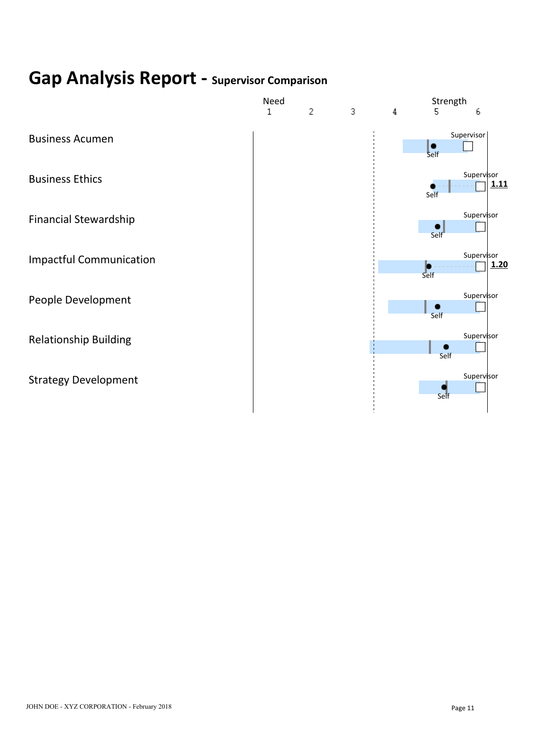# **Gap Analysis Report - Supervisor Comparison**

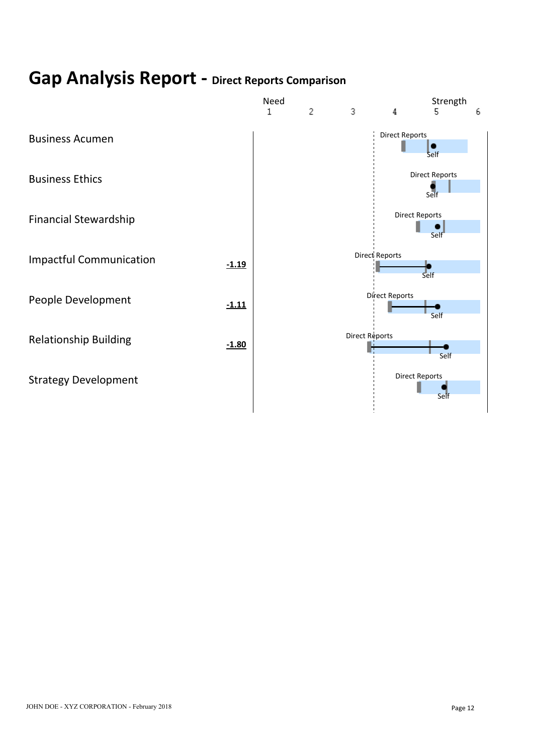# **Gap Analysis Report - Direct Reports Comparison**

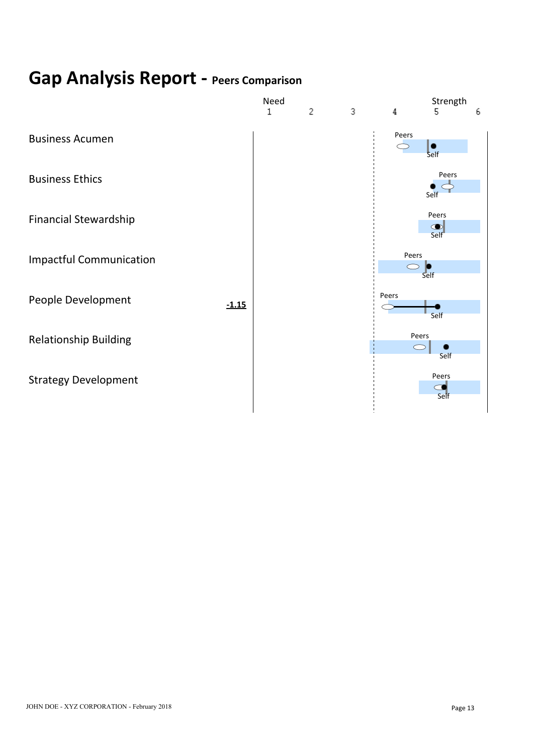# **Gap Analysis Report - Peers Comparison**

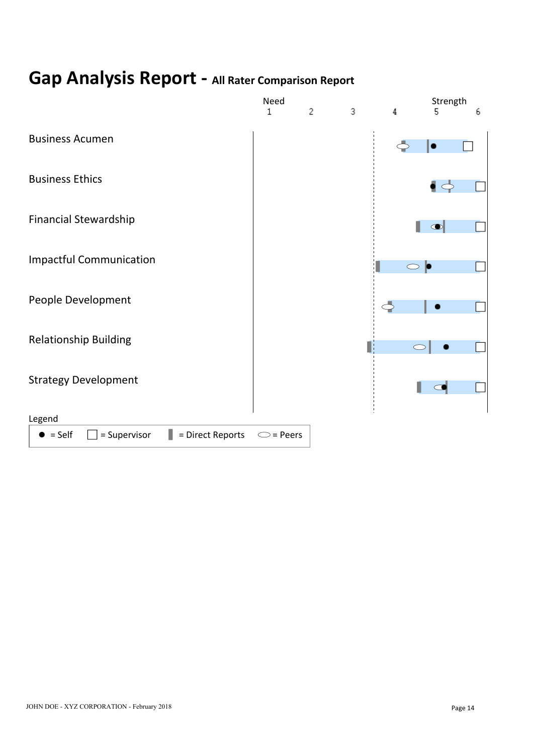# **Gap Analysis Report - All Rater Comparison Report**

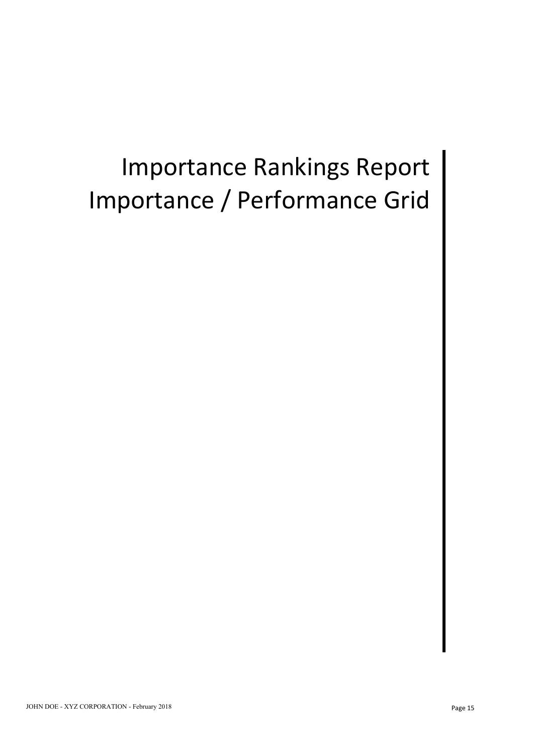# Importance Rankings Report Importance / Performance Grid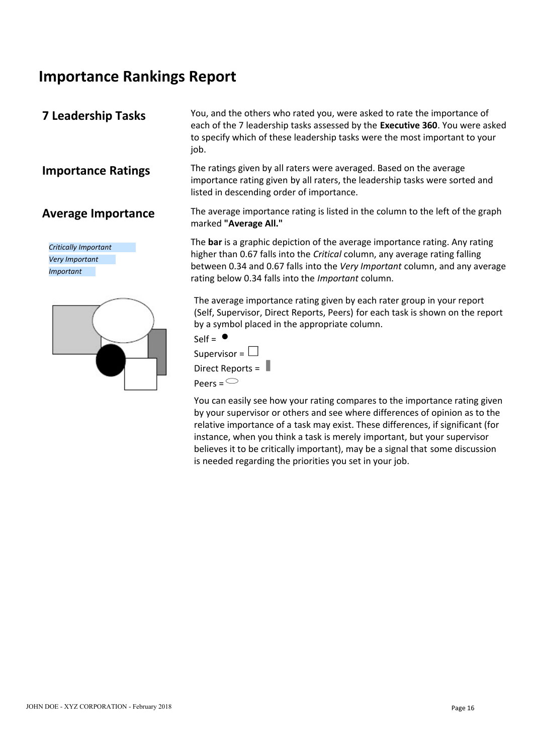## **Importance Rankings Report**

*Critically Important Very Important Important*



**7 Leadership Tasks** You, and the others who rated you, were asked to rate the importance of each of the 7 leadership tasks assessed by the **Executive 360**. You were asked to specify which of these leadership tasks were the most important to your iob.

**Importance Ratings** The ratings given by all raters were averaged. Based on the average importance rating given by all raters, the leadership tasks were sorted and listed in descending order of importance.

**Average Importance** The average importance rating is listed in the column to the left of the graph marked **"Average All."**

> The **bar** is a graphic depiction of the average importance rating. Any rating higher than 0.67 falls into the *Critical* column, any average rating falling between 0.34 and 0.67 falls into the *Very Important* column, and any average rating below 0.34 falls into the *Important* column.

> The average importance rating given by each rater group in your report (Self, Supervisor, Direct Reports, Peers) for each task is shown on the report by a symbol placed in the appropriate column.



You can easily see how your rating compares to the importance rating given by your supervisor or others and see where differences of opinion as to the relative importance of a task may exist. These differences, if significant (for instance, when you think a task is merely important, but your supervisor believes it to be critically important), may be a signal that some discussion is needed regarding the priorities you set in your job.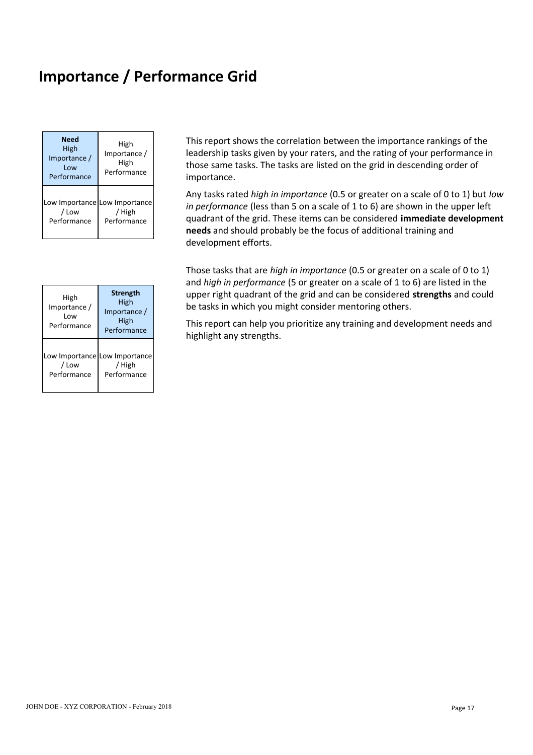## **Importance / Performance Grid**

| <b>Need</b><br>High<br>Importance /<br>Low<br>Performance | High<br>Importance /<br>High<br>Performance            | This report shows t<br>leadership tasks giv<br>those same tasks. T<br>importance.        |
|-----------------------------------------------------------|--------------------------------------------------------|------------------------------------------------------------------------------------------|
| / Low<br>Performance                                      | Low Importance Low Importance<br>/ High<br>Performance | Any tasks rated hig<br>in performance (les<br>quadrant of the grid<br>needs and should p |

|                                            |                                                                | and <i>man in performance</i> to be given                                                                                               |
|--------------------------------------------|----------------------------------------------------------------|-----------------------------------------------------------------------------------------------------------------------------------------|
| High<br>Importance /<br>Low<br>Performance | <b>Strength</b><br>High<br>Importance /<br>High<br>Performance | upper right quadrant of the grid<br>be tasks in which you might cons<br>This report can help you prioritize<br>highlight any strengths. |
| / Low<br>Performance                       | Low Importance Low Importance<br><b>High</b><br>Performance    |                                                                                                                                         |

**Need** High **High** This report shows the correlation between the importance rankings of the High | Importance / | leadership tasks given by your raters, and the rating of your performance in High High those same tasks. The tasks are listed on the grid in descending order of Performance Performance **importance**.

 $\frac{1}{2}$  / High  $\frac{1}{2}$  / High  $\frac{1}{2}$  / High  $\frac{1}{2}$  /  $\frac{1}{2}$  /  $\frac{1}{2}$  /  $\frac{1}{2}$  /  $\frac{1}{2}$  /  $\frac{1}{2}$  /  $\frac{1}{2}$  /  $\frac{1}{2}$  /  $\frac{1}{2}$  /  $\frac{1}{2}$  /  $\frac{1}{2}$  /  $\frac{1}{2}$  /  $\frac{1}{2}$  /  $\frac{1}{2}$  /  $\$ Performance Performance quadrant of the grid. These items can be considered **immediate development** Low Importance  $\begin{bmatrix} 1 & 1 \\ 0 & 1 \end{bmatrix}$  in norformance (loss than 5 on a) / High *in performance* (less than 5 on a scale of 1 to 6) are shown in the upper left Any tasks rated *high in importance* (0.5 or greater on a scale of 0 to 1) but *low* **needs** and should probably be the focus of additional training and development efforts.

High
labress and could
ing the strength
ingh
and could
ingh
the grid and can be considered **strengths** and could  $\frac{m_{\text{min}}}{m_{\text{postness}}}$  High be tasks in which you might co  $\frac{H_{\text{IBD}}}{H_{\text{SD}}}\left| \right|$  be tasks in which you might consider mentoring others. Those tasks that are *high in importance* (0.5 or greater on a scale of 0 to 1) and *high in performance* (5 or greater on a scale of 1 to 6) are listed in the

Performance High High This report can help you prioritize any training and development needs and Performance highlight any strengths.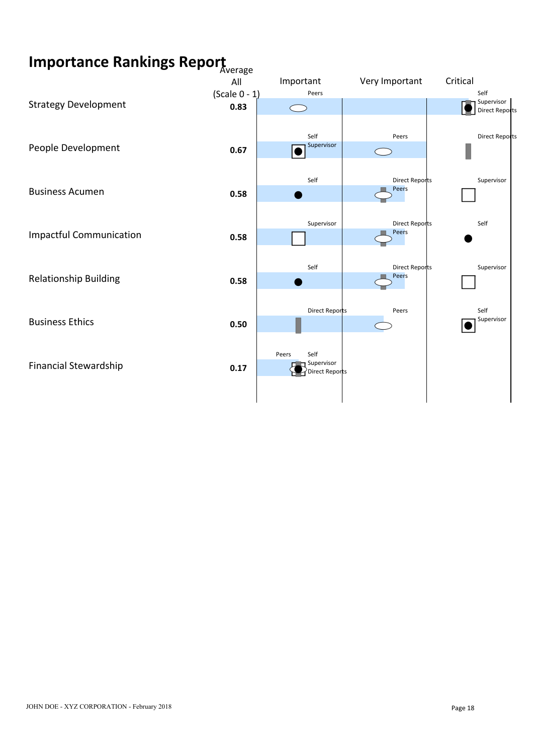# **Importance Rankings Report** Average

|                                | All                      | Important<br>Peers                 | Very Important                 | Critical<br>Self             |
|--------------------------------|--------------------------|------------------------------------|--------------------------------|------------------------------|
| <b>Strategy Development</b>    | (Scale $0 - 1$ )<br>0.83 | $\bigcirc$                         |                                | Supervisor<br>Direct Reports |
|                                |                          |                                    |                                |                              |
|                                |                          | Self                               | Peers                          | <b>Direct Reports</b>        |
| People Development             | 0.67                     | Supervisor<br>$\overline{\bullet}$ | $\bigcirc$                     |                              |
|                                |                          |                                    |                                |                              |
| <b>Business Acumen</b>         | 0.58                     | Self                               | <b>Direct Reports</b><br>Peers | Supervisor                   |
|                                |                          |                                    |                                |                              |
|                                |                          | Supervisor                         | <b>Direct Reports</b>          | Self                         |
| <b>Impactful Communication</b> | 0.58                     |                                    | Peers                          |                              |
|                                |                          |                                    |                                |                              |
| <b>Relationship Building</b>   |                          | Self                               | <b>Direct Reports</b><br>Peers | Supervisor                   |
|                                | 0.58                     |                                    |                                |                              |
|                                |                          | <b>Direct Reports</b>              | Peers                          | Self                         |
| <b>Business Ethics</b>         | 0.50                     |                                    |                                | Supervisor                   |
|                                |                          |                                    |                                |                              |
|                                |                          | Peers<br>Self<br>Supervisor        |                                |                              |
| <b>Financial Stewardship</b>   | 0.17                     | Direct Reports                     |                                |                              |
|                                |                          |                                    |                                |                              |
|                                |                          |                                    |                                |                              |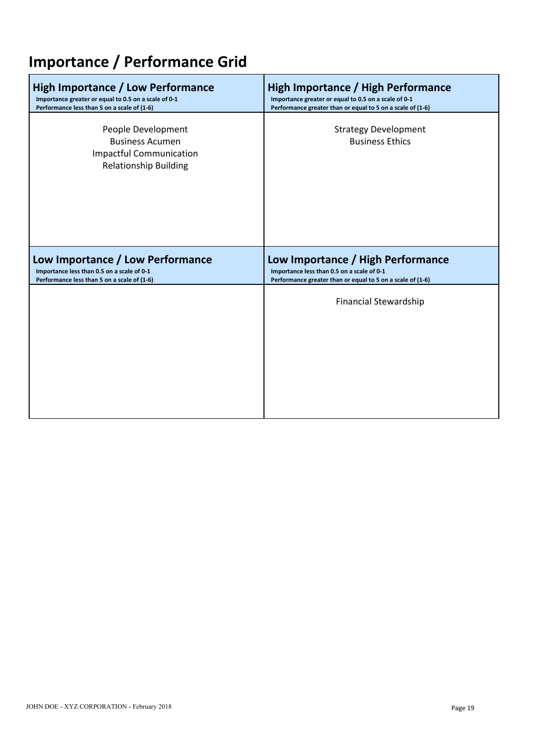# **Importance / Performance Grid**

| High Importance / Low Performance                                                                              | <b>High Importance / High Performance</b>                  |
|----------------------------------------------------------------------------------------------------------------|------------------------------------------------------------|
| Importance greater or equal to 0.5 on a scale of 0-1                                                           | Importance greater or equal to 0.5 on a scale of 0-1       |
| Performance less than 5 on a scale of (1-6)                                                                    | Performance greater than or equal to 5 on a scale of (1-6) |
| People Development<br><b>Business Acumen</b><br><b>Impactful Communication</b><br><b>Relationship Building</b> | <b>Strategy Development</b><br><b>Business Ethics</b>      |
| Low Importance / Low Performance                                                                               | Low Importance / High Performance                          |
| Importance less than 0.5 on a scale of 0-1                                                                     | Importance less than 0.5 on a scale of 0-1                 |
| Performance less than 5 on a scale of (1-6)                                                                    | Performance greater than or equal to 5 on a scale of (1-6) |
|                                                                                                                | <b>Financial Stewardship</b>                               |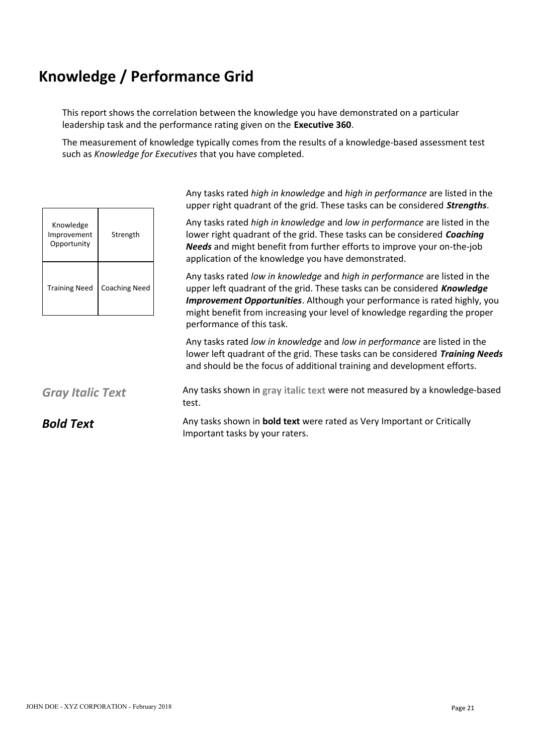This report shows the correlation between the knowledge you have demonstrated on a particular leadership task and the performance rating given on the **Executive 360**.

The measurement of knowledge typically comes from the results of a knowledge-based assessment test such as *Knowledge for Executives* that you have completed.

| Knowledge<br>Improvement<br>Opportunity | Strength             |
|-----------------------------------------|----------------------|
| <b>Training Need</b>                    | <b>Coaching Need</b> |

Any tasks rated *high in knowledge* and *high in performance* are listed in the upper right quadrant of the grid. These tasks can be considered *Strengths*.

Knowledge Any tasks rated *high in knowledge* and *low in performance* are listed in the Improvement | Strength | **IOWER THE GOALD INGLEY COACT THE STAN** INDIST UNITY ONCE THE STAND INTERTY OF STAND IN Opportunity *Needs* and might benefit from further efforts to improve your on-the-job application of the knowledge you have demonstrated.

Training Need | Coaching Need | www.pper left quadrant of the grid. These tasks can be considered **Knowledge** Any tasks rated *low in knowledge* and *high in performance* are listed in the *Improvement Opportunities*. Although your performance is rated highly, you might benefit from increasing your level of knowledge regarding the proper performance of this task.

> Any tasks rated *low in knowledge* and *low in performance* are listed in the lower left quadrant of the grid. These tasks can be considered *Training Needs* and should be the focus of additional training and development efforts.

**Gray Italic Text** Any tasks shown in gray italic text were not measured by a knowledge-based test.

**Bold Text** Any tasks shown in **bold text** were rated as Very Important or Critically Important tasks by your raters.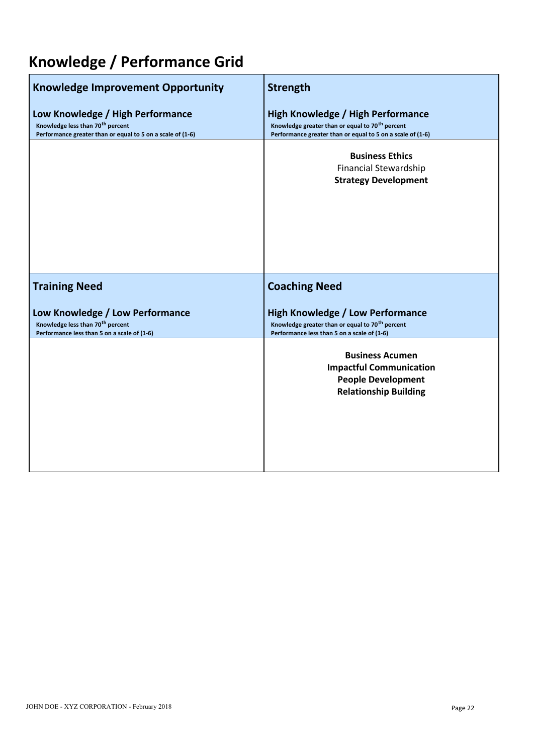| <b>Knowledge Improvement Opportunity</b>                                                                                                       | <b>Strength</b>                                                                                                                                                       |
|------------------------------------------------------------------------------------------------------------------------------------------------|-----------------------------------------------------------------------------------------------------------------------------------------------------------------------|
| Low Knowledge / High Performance<br>Knowledge less than 70 <sup>th</sup> percent<br>Performance greater than or equal to 5 on a scale of (1-6) | <b>High Knowledge / High Performance</b><br>Knowledge greater than or equal to 70 <sup>th</sup> percent<br>Performance greater than or equal to 5 on a scale of (1-6) |
|                                                                                                                                                | <b>Business Ethics</b><br><b>Financial Stewardship</b><br><b>Strategy Development</b>                                                                                 |
|                                                                                                                                                |                                                                                                                                                                       |
| <b>Training Need</b>                                                                                                                           | <b>Coaching Need</b>                                                                                                                                                  |
| Low Knowledge / Low Performance<br>Knowledge less than 70 <sup>th</sup> percent<br>Performance less than 5 on a scale of (1-6)                 | <b>High Knowledge / Low Performance</b><br>Knowledge greater than or equal to 70 <sup>th</sup> percent<br>Performance less than 5 on a scale of (1-6)                 |
|                                                                                                                                                | <b>Business Acumen</b><br><b>Impactful Communication</b><br><b>People Development</b><br><b>Relationship Building</b>                                                 |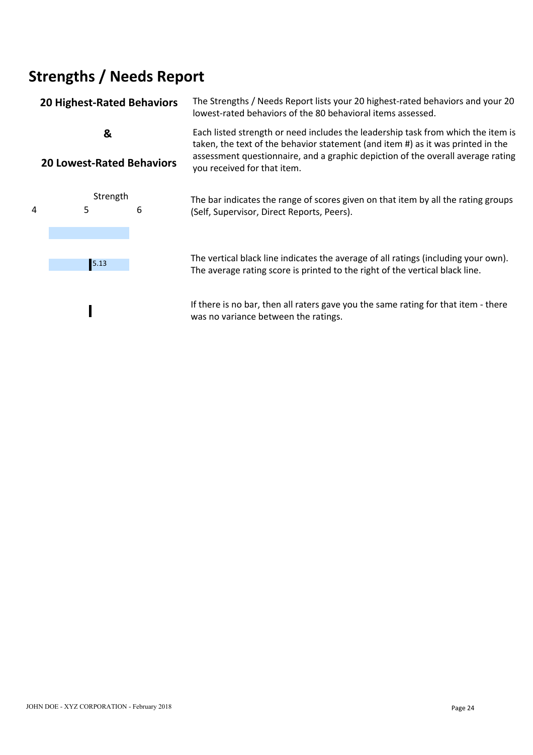### **20 Highest-Rated Behaviors** The Strengths / Needs Report lists your 20 highest-rated behaviors and your 20 lowest-rated behaviors of the 80 behavioral items assessed. **&**  Each listed strength or need includes the leadership task from which the item is **20 Lowest-Rated Behaviors** taken, the text of the behavior statement (and item #) as it was printed in the assessment questionnaire, and a graphic depiction of the overall average rating you received for that item. Strength The bar indicates the range of scores given on that item by all the rating groups<br>5 6 (Self Supervisor Direct Reports Peers) 4 5 6 (Self, Supervisor, Direct Reports, Peers).



The vertical black line indicates the average of all ratings (including your own). 5.13 The average rating score is printed to the right of the vertical black line.

> If there is no bar, then all raters gave you the same rating for that item - there was no variance between the ratings.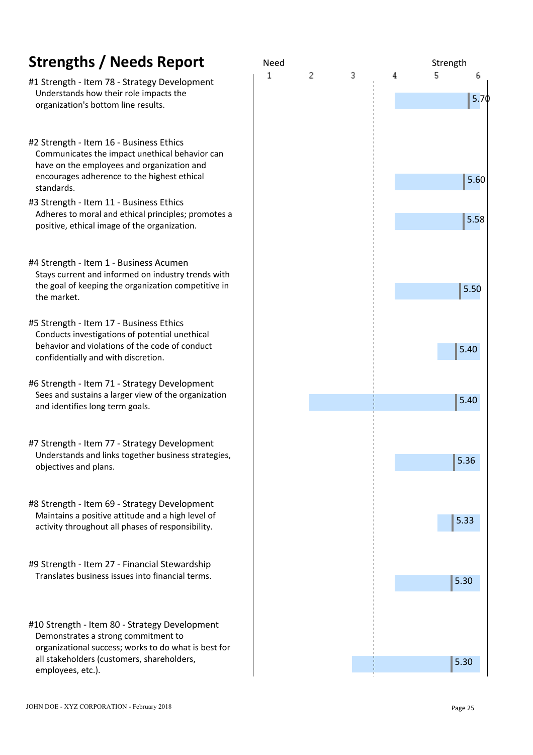- #1 Strength Item 78 Strategy Development Understands how their role impacts the organization's bottom line results.
- #2 Strength Item 16 Business Ethics Communicates the impact unethical behavior can have on the employees and organization and encourages adherence to the highest ethical standards.
- #3 Strength Item 11 Business Ethics Adheres to moral and ethical principles; promotes a positive, ethical image of the organization.
- #4 Strength Item 1 Business Acumen Stays current and informed on industry trends with the goal of keeping the organization competitive in the market.
- #5 Strength Item 17 Business Ethics Conducts investigations of potential unethical behavior and violations of the code of conduct confidentially and with discretion.
- #6 Strength Item 71 Strategy Development Sees and sustains a larger view of the organization and identifies long term goals.
- #7 Strength Item 77 Strategy Development Understands and links together business strategies, objectives and plans.
- #8 Strength Item 69 Strategy Development Maintains a positive attitude and a high level of activity throughout all phases of responsibility.
- #9 Strength Item 27 Financial Stewardship Translates business issues into financial terms.
- #10 Strength Item 80 Strategy Development Demonstrates a strong commitment to organizational success; works to do what is best for all stakeholders (customers, shareholders, employees, etc.).

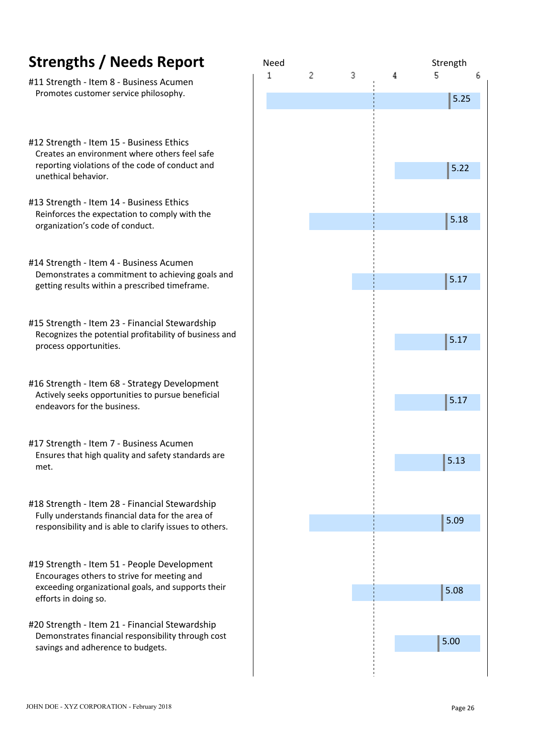- #11 Strength Item 8 Business Acumen Promotes customer service philosophy.
- #12 Strength Item 15 Business Ethics Creates an environment where others feel safe reporting violations of the code of conduct and unethical behavior.
- #13 Strength Item 14 Business Ethics Reinforces the expectation to comply with the organization's code of conduct.
- #14 Strength Item 4 Business Acumen Demonstrates a commitment to achieving goals and getting results within a prescribed timeframe.
- #15 Strength Item 23 Financial Stewardship Recognizes the potential profitability of business and process opportunities.
- #16 Strength Item 68 Strategy Development Actively seeks opportunities to pursue beneficial endeavors for the business.
- #17 Strength Item 7 Business Acumen Ensures that high quality and safety standards are met.
- #18 Strength Item 28 Financial Stewardship Fully understands financial data for the area of responsibility and is able to clarify issues to others.
- #19 Strength Item 51 People Development Encourages others to strive for meeting and exceeding organizational goals, and supports their efforts in doing so.
- #20 Strength Item 21 Financial Stewardship Demonstrates financial responsibility through cost savings and adherence to budgets.

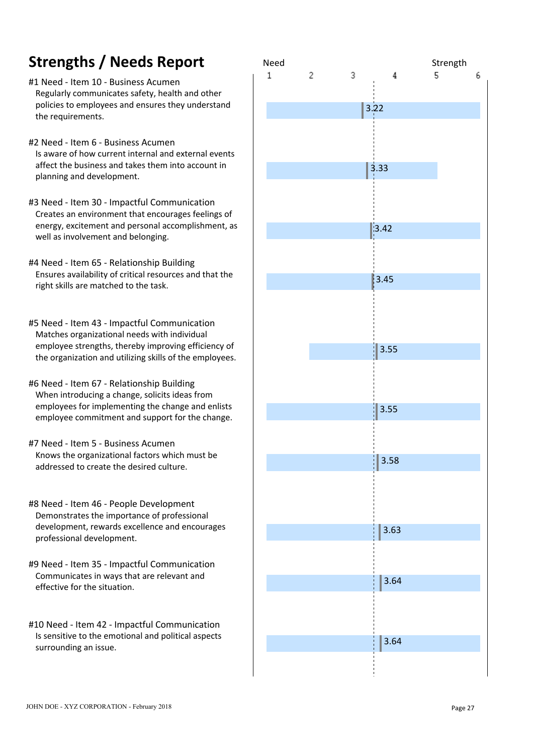- #1 Need Item 10 Business Acumen Regularly communicates safety, health and other policies to employees and ensures they understand the requirements.
- #2 Need Item 6 Business Acumen Is aware of how current internal and external events affect the business and takes them into account in planning and development.
- #3 Need Item 30 Impactful Communication Creates an environment that encourages feelings of energy, excitement and personal accomplishment, as well as involvement and belonging.
- #4 Need Item 65 Relationship Building Ensures availability of critical resources and that the right skills are matched to the task.
- #5 Need Item 43 Impactful Communication Matches organizational needs with individual employee strengths, thereby improving efficiency of the organization and utilizing skills of the employees.
- #6 Need Item 67 Relationship Building When introducing a change, solicits ideas from employees for implementing the change and enlists employee commitment and support for the change.
- #7 Need Item 5 Business Acumen Knows the organizational factors which must be addressed to create the desired culture.
- #8 Need Item 46 People Development Demonstrates the importance of professional development, rewards excellence and encourages professional development.
- #9 Need Item 35 Impactful Communication Communicates in ways that are relevant and effective for the situation.
- #10 Need Item 42 Impactful Communication Is sensitive to the emotional and political aspects surrounding an issue.

| Need<br>1 | $\sqrt{2}$ | $\ensuremath{\mathsf{3}}$ | $\bf{4}$  | Strength<br>5 | 6 |
|-----------|------------|---------------------------|-----------|---------------|---|
|           |            |                           |           |               |   |
|           |            |                           | 3.22      |               |   |
|           |            |                           |           |               |   |
|           |            |                           |           |               |   |
|           |            |                           | 3.33      |               |   |
|           |            |                           |           |               |   |
|           |            |                           |           |               |   |
|           |            |                           |           |               |   |
|           |            |                           | $3.42$    |               |   |
|           |            |                           |           |               |   |
|           |            |                           |           |               |   |
|           |            |                           | 3.45      |               |   |
|           |            |                           |           |               |   |
|           |            |                           |           |               |   |
|           |            |                           |           |               |   |
|           |            |                           | 3.55      |               |   |
|           |            |                           |           |               |   |
|           |            |                           |           |               |   |
|           |            |                           | 3.55      |               |   |
|           |            |                           |           |               |   |
|           |            |                           |           |               |   |
|           |            |                           | 3.58<br>0 |               |   |
|           |            |                           |           |               |   |
|           |            |                           |           |               |   |
|           |            |                           |           |               |   |
|           |            |                           | 3.63      |               |   |
|           |            |                           |           |               |   |
|           |            |                           |           |               |   |
|           |            |                           | 3.64      |               |   |
|           |            |                           |           |               |   |
|           |            |                           |           |               |   |
|           |            |                           |           |               |   |
|           |            |                           | 3.64      |               |   |
|           |            |                           |           |               |   |
|           |            |                           |           |               |   |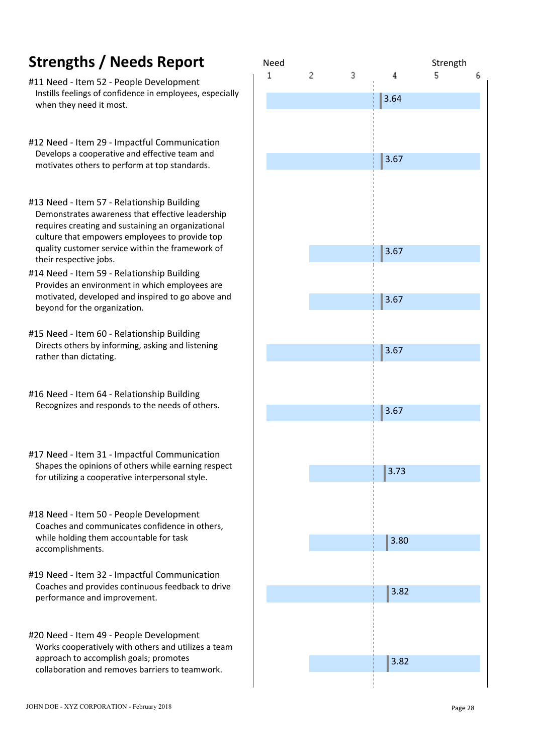- #11 Need Item 52 People Development Instills feelings of confidence in employees, especially when they need it most.
- #12 Need Item 29 Impactful Communication Develops a cooperative and effective team and motivates others to perform at top standards.
- #13 Need Item 57 Relationship Building Demonstrates awareness that effective leadership requires creating and sustaining an organizational culture that empowers employees to provide top quality customer service within the framework of their respective jobs.
- #14 Need Item 59 Relationship Building Provides an environment in which employees are motivated, developed and inspired to go above and beyond for the organization.
- #15 Need Item 60 Relationship Building Directs others by informing, asking and listening rather than dictating.
- #16 Need Item 64 Relationship Building Recognizes and responds to the needs of others.
- #17 Need Item 31 Impactful Communication Shapes the opinions of others while earning respect for utilizing a cooperative interpersonal style.
- #18 Need Item 50 People Development Coaches and communicates confidence in others, while holding them accountable for task accomplishments.
- #19 Need Item 32 Impactful Communication Coaches and provides continuous feedback to drive performance and improvement.
- #20 Need Item 49 People Development Works cooperatively with others and utilizes a team approach to accomplish goals; promotes collaboration and removes barriers to teamwork.

| Need        |              |                           |         |               |   |
|-------------|--------------|---------------------------|---------|---------------|---|
| $\mathbf 1$ | $\mathbf{2}$ | $\ensuremath{\mathsf{3}}$ | $\it 4$ | Strength<br>5 | 6 |
|             |              |                           | 3.64    |               |   |
|             |              |                           |         |               |   |
|             |              |                           |         |               |   |
|             |              |                           | $3.67$  |               |   |
|             |              |                           |         |               |   |
|             |              |                           |         |               |   |
|             |              |                           |         |               |   |
|             |              |                           | 3.67    |               |   |
|             |              |                           |         |               |   |
|             |              |                           | 3.67    |               |   |
|             |              |                           |         |               |   |
|             |              |                           |         |               |   |
|             |              |                           | 3.67    |               |   |
|             |              |                           |         |               |   |
|             |              |                           |         |               |   |
|             |              |                           | 3.67    |               |   |
|             |              |                           |         |               |   |
|             |              |                           |         |               |   |
|             |              |                           | 3.73    |               |   |
|             |              |                           |         |               |   |
|             |              |                           |         |               |   |
|             |              |                           | 3.80    |               |   |
|             |              |                           |         |               |   |
|             |              |                           | 3.82    |               |   |
|             |              |                           |         |               |   |
|             |              |                           |         |               |   |
|             |              |                           |         |               |   |
|             |              |                           | 3.82    |               |   |
|             |              |                           |         |               |   |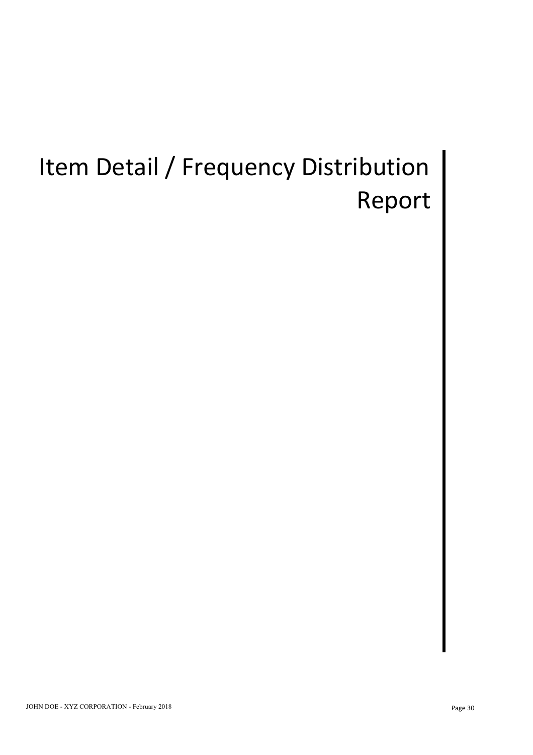# Item Detail / Frequency Distribution | Report |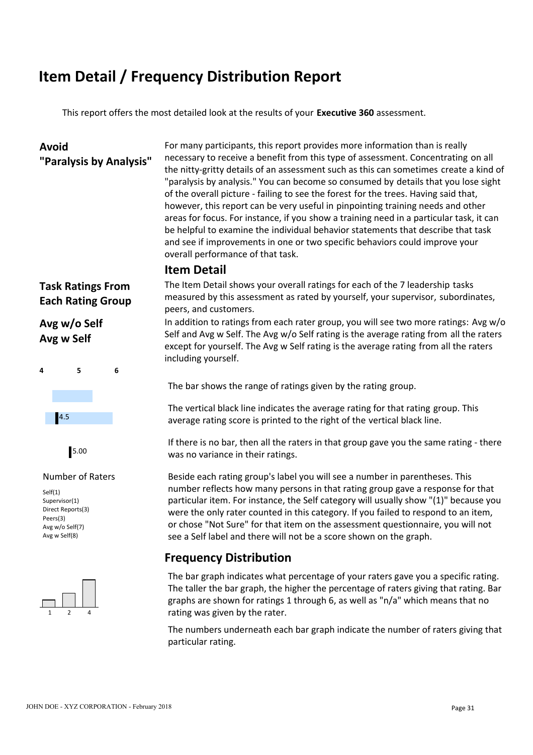## **Item Detail / Frequency Distribution Report**

This report offers the most detailed look at the results of your **Executive 360** assessment.

**Avoid** For many participants, this report provides more information than is really **"Paralysis by Analysis"** necessary to receive a benefit from this type of assessment. Concentrating on all the nitty-gritty details of an assessment such as this can sometimes create a kind of "paralysis by analysis." You can become so consumed by details that you lose sight of the overall picture - failing to see the forest for the trees. Having said that, however, this report can be very useful in pinpointing training needs and other areas for focus. For instance, if you show a training need in a particular task, it can be helpful to examine the individual behavior statements that describe that task and see if improvements in one or two specific behaviors could improve your overall performance of that task.

### **Item Detail**

**Avg w Self**





Self(1) Supervisor(1) Direct Reports(3) Peers(3) Avg w/o Self(7) Avg w Self(8)



**Task Ratings From** The Item Detail shows your overall ratings for each of the 7 leadership tasks **Each Rating Group** measured by this assessment as rated by yourself, your supervisor, subordinates, peers, and customers.

**Avg w/o Self** In addition to ratings from each rater group, you will see two more ratings: Avg w/o Self and Avg w Self. The Avg w/o Self rating is the average rating from all the raters except for yourself. The Avg w Self rating is the average rating from all the raters including yourself.

The bar shows the range of ratings given by the rating group.

The vertical black line indicates the average rating for that rating group. This average rating score is printed to the right of the vertical black line. 4.5

If there is no bar, then all the raters in that group gave you the same rating - there was no variance in their ratings. 5.00

Number of Raters Beside each rating group's label you will see a number in parentheses. This number reflects how many persons in that rating group gave a response for that particular item. For instance, the Self category will usually show "(1)" because you were the only rater counted in this category. If you failed to respond to an item, or chose "Not Sure" for that item on the assessment questionnaire, you will not see a Self label and there will not be a score shown on the graph.

### **Frequency Distribution**

1 2 4 rating was given by the rater. The bar graph indicates what percentage of your raters gave you a specific rating. The taller the bar graph, the higher the percentage of raters giving that rating. Bar graphs are shown for ratings 1 through 6, as well as "n/a" which means that no

> The numbers underneath each bar graph indicate the number of raters giving that particular rating.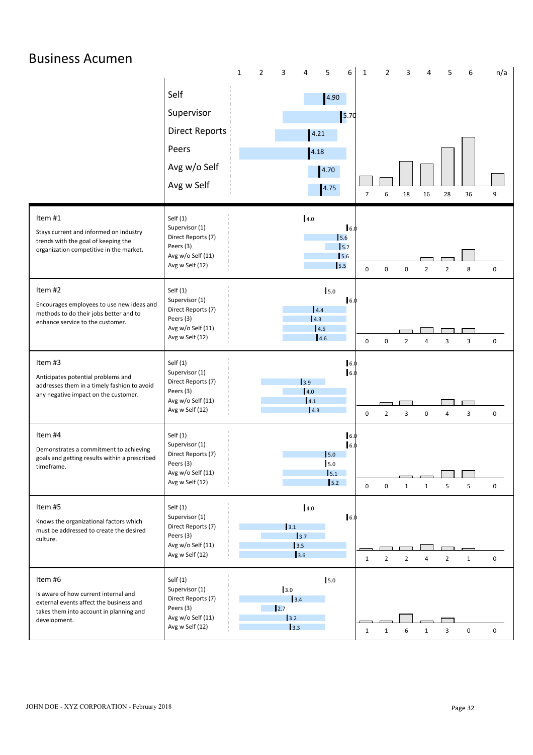| <b>Business Acumen</b>                                                                                                                                |                                                                                                         |                     |                                                                                        | 5                                                              |                                            |                |                                  | 5            |             |  |
|-------------------------------------------------------------------------------------------------------------------------------------------------------|---------------------------------------------------------------------------------------------------------|---------------------|----------------------------------------------------------------------------------------|----------------------------------------------------------------|--------------------------------------------|----------------|----------------------------------|--------------|-------------|--|
|                                                                                                                                                       | Self<br>Supervisor<br><b>Direct Reports</b><br>Peers<br>Avg w/o Self<br>Avg w Self                      | 1<br>$\overline{2}$ | 3<br>4                                                                                 | 6<br>4.90<br>$\boxed{5.70}$<br>4.21<br>4.18<br>4.70<br>4.75    | $\overline{2}$<br>1<br>$\overline{7}$<br>6 | 3<br>18        | 4<br>16<br>28                    | 6<br>36      | n/a<br>9    |  |
| Item #1<br>Stays current and informed on industry<br>trends with the goal of keeping the<br>organization competitive in the market.                   | Self $(1)$<br>Supervisor (1)<br>Direct Reports (7)<br>Peers (3)<br>Avg w/o Self (11)<br>Avg w Self (12) |                     | 4.0                                                                                    | 6.0<br>15.6<br>5.7<br>5.6<br>5.5                               | $\mathbf 0$<br>$\mathbf 0$                 | $\mathbf 0$    | $\overline{2}$<br>$\overline{2}$ | 8            | $\mathbf 0$ |  |
| Item #2<br>Encourages employees to use new ideas and<br>methods to do their jobs better and to<br>enhance service to the customer.                    | Self $(1)$<br>Supervisor (1)<br>Direct Reports (7)<br>Peers (3)<br>Avg w/o Self (11)<br>Avg w Self (12) |                     |                                                                                        | 5.0<br>6.0<br>4.4<br>4.3<br>4.5<br>4.6                         | $\mathbf 0$<br>0                           | $\overline{2}$ | $\overline{4}$<br>3              | 3            | $\mathbf 0$ |  |
| Item #3<br>Anticipates potential problems and<br>addresses them in a timely fashion to avoid<br>any negative impact on the customer.                  | Self $(1)$<br>Supervisor (1)<br>Direct Reports (7)<br>Peers (3)<br>Avg w/o Self (11)<br>Avg w Self (12) |                     | $\vert$ 3.9<br>4.0                                                                     | 6.0<br>6.0<br>4.1<br> 4.3                                      | $\mathbf 0$<br>$\overline{2}$              | 3              | $\mathbf 0$<br>$\overline{4}$    | 3            | $\mathbf 0$ |  |
| Item #4<br>Demonstrates a commitment to achieving<br>goals and getting results within a prescribed<br>timeframe.                                      | Self $(1)$<br>Supervisor (1)<br>Direct Reports (7)<br>Peers (3)<br>Avg w/o Self (11)<br>Avg w Self (12) |                     |                                                                                        | 6.0<br>6.0<br>$\mathsf{I}$ <sub>5.0</sub><br>5.0<br>5.1<br>5.2 | $\mathbf 0$<br>$\mathbf 0$                 | $\mathbf{1}$   | 5<br>$\mathbf{1}$                | 5            | $\mathbf 0$ |  |
| Item #5<br>Knows the organizational factors which<br>must be addressed to create the desired<br>culture.                                              | Self(1)<br>Supervisor (1)<br>Direct Reports (7)<br>Peers (3)<br>Avg w/o Self (11)<br>Avg w Self (12)    |                     | 4.0<br>$3.1$<br>3.7<br>$\vert$ 3.5<br>3.6                                              | 16.0                                                           | $\overline{2}$<br>1                        | $\overline{2}$ | $\overline{2}$<br>$\overline{4}$ | $\mathbf{1}$ | 0           |  |
| Item #6<br>Is aware of how current internal and<br>external events affect the business and<br>takes them into account in planning and<br>development. | Self $(1)$<br>Supervisor (1)<br>Direct Reports (7)<br>Peers (3)<br>Avg w/o Self (11)<br>Avg w Self (12) |                     | 3.0<br>3.4<br>$\vert$ 2.7<br>$\begin{array}{c} \boxed{3.2} \end{array}$<br>$\vert$ 3.3 | 5.0                                                            | $\mathbf{1}$<br>1                          | 6              | 3<br>$\mathbf{1}$                | $\mathbf 0$  | $\mathbf 0$ |  |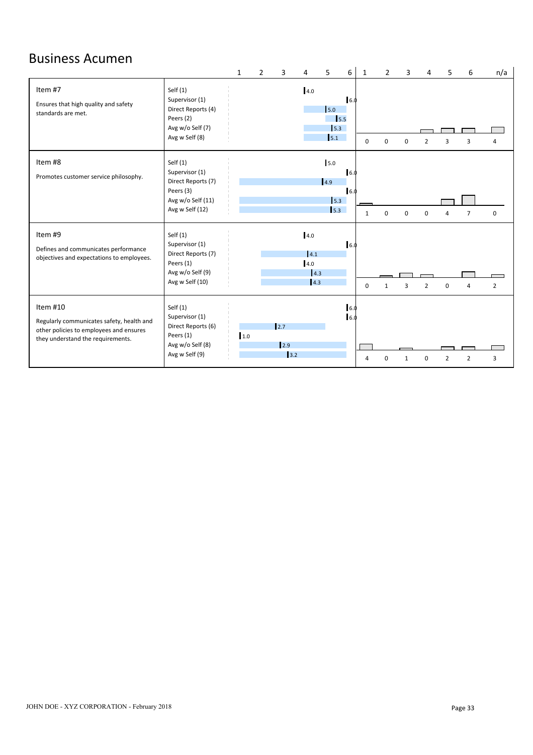## Business Acumen

|                                                                                                                                       |                                                                                                         | $\mathbf{1}$ | $\mathcal{P}$ | ર                          | 4                                       | 5.                                 | 6           | $\mathbf{1}$ | $\mathcal{P}$ | з        |                | 5            | 6              | n/a            |
|---------------------------------------------------------------------------------------------------------------------------------------|---------------------------------------------------------------------------------------------------------|--------------|---------------|----------------------------|-----------------------------------------|------------------------------------|-------------|--------------|---------------|----------|----------------|--------------|----------------|----------------|
| Item #7<br>Ensures that high quality and safety<br>standards are met.                                                                 | Self $(1)$<br>Supervisor (1)<br>Direct Reports (4)<br>Peers (2)<br>Avg w/o Self (7)<br>Avg w Self (8)   |              |               |                            | 4.0                                     | 5.0<br>$\vert$ 5.5<br>5.3<br>5.1   | 6.0         | $\Omega$     | $\Omega$      |          | $\overline{2}$ |              | з              | Δ              |
| Item #8<br>Promotes customer service philosophy.                                                                                      | Self $(1)$<br>Supervisor (1)<br>Direct Reports (7)<br>Peers (3)<br>Avg w/o Self (11)<br>Avg w Self (12) |              |               |                            |                                         | 5.0<br> 4.9 <br>$\vert$ 5.3<br>5.3 | 6.0<br>16.0 | -1           | $\Omega$      | $\Omega$ | $\Omega$       |              | $\overline{ }$ | $\mathbf 0$    |
| Item #9<br>Defines and communicates performance<br>objectives and expectations to employees.                                          | Self $(1)$<br>Supervisor (1)<br>Direct Reports (7)<br>Peers (1)<br>Avg w/o Self (9)<br>Avg w Self (10)  |              |               |                            | 4.0<br>4.1<br>4.0<br>4.3<br>$\vert$ 4.3 |                                    | 16.0        | $\mathbf 0$  | $\mathbf{1}$  | 3        | $\overline{2}$ | $\Omega$     | $\overline{a}$ | $\overline{2}$ |
| Item #10<br>Regularly communicates safety, health and<br>other policies to employees and ensures<br>they understand the requirements. | Self $(1)$<br>Supervisor (1)<br>Direct Reports (6)<br>Peers (1)<br>Avg w/o Self (8)<br>Avg w Self (9)   | 1.0          |               | 12.7<br>$\vert$ 2.9<br>3.2 |                                         |                                    | 6.0<br>6.0  | $\Lambda$    |               |          | U              | $\mathbf{D}$ | $\mathcal{P}$  | 3              |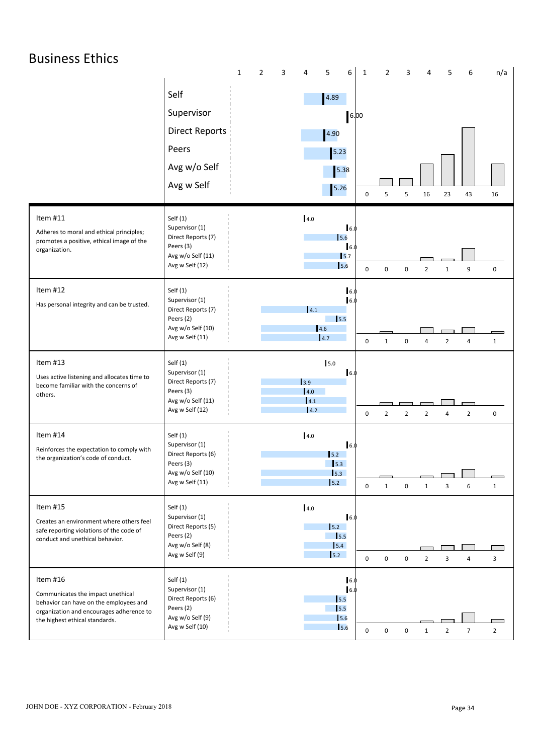| <b>Business Ethics</b>                                                                                                                                                |                                                                                                        | $\mathbf{1}$<br>$\overline{2}$<br>$\overline{3}$ | $\overline{4}$<br>5                                         |                                     |                                          | 4                                |                |                |  |
|-----------------------------------------------------------------------------------------------------------------------------------------------------------------------|--------------------------------------------------------------------------------------------------------|--------------------------------------------------|-------------------------------------------------------------|-------------------------------------|------------------------------------------|----------------------------------|----------------|----------------|--|
|                                                                                                                                                                       | Self<br>Supervisor<br><b>Direct Reports</b><br>Peers<br>Avg w/o Self<br>Avg w Self                     |                                                  | 6<br>4.89<br>4.90<br>5.23<br>5.38<br>$5.26$                 | $\mathbf{1}$<br>6.00<br>$\mathbf 0$ | $\overline{2}$<br>$\mathbf{3}$<br>5<br>5 | 5<br>16<br>23                    | 6<br>43        | n/a<br>16      |  |
| Item #11<br>Adheres to moral and ethical principles;<br>promotes a positive, ethical image of the<br>organization.                                                    | Self(1)<br>Supervisor (1)<br>Direct Reports (7)<br>Peers (3)<br>Avg w/o Self (11)<br>Avg w Self (12)   |                                                  | 4.0<br>16.0<br>5.6<br>6.0<br>5.7<br>15.6                    | $\mathbf 0$                         | $\mathsf 0$<br>$\mathbf 0$               | $\overline{2}$<br>$\mathbf{1}$   | 9              | $\mathsf 0$    |  |
| Item #12<br>Has personal integrity and can be trusted.                                                                                                                | Self(1)<br>Supervisor (1)<br>Direct Reports (7)<br>Peers (2)<br>Avg w/o Self (10)<br>Avg w Self (11)   |                                                  | 6.<br>6.0<br>4.1<br>15.5<br>4.6<br>$\vert 4.7$              | $\mathbf 0$                         | $\mathbf 0$<br>$\mathbf{1}$              | $\overline{4}$<br>$\overline{2}$ | 4              | $\mathbf{1}$   |  |
| Item #13<br>Uses active listening and allocates time to<br>become familiar with the concerns of<br>others.                                                            | Self(1)<br>Supervisor (1)<br>Direct Reports (7)<br>Peers (3)<br>Avg w/o Self (11)<br>Avg w Self (12)   |                                                  | 5.0<br>16.0<br>$\vert$ 3.9<br>4.0<br>4.1<br>4.2             | $\mathbf 0$                         | $\overline{2}$<br>$\overline{2}$         | $\overline{2}$<br>4              | $\overline{2}$ | $\mathbf 0$    |  |
| Item #14<br>Reinforces the expectation to comply with<br>the organization's code of conduct.                                                                          | Self(1)<br>Supervisor (1)<br>Direct Reports (6)<br>Peers (3)<br>Avg w/o Self (10)<br>Avg w Self (11)   |                                                  | $4.0\,$<br>16.0<br>5.2<br>$\vert$ 5.3<br>$\vert$ 5.3<br>5.2 | $\mathbf 0$                         | $\mathbf{1}$<br>$\mathbf 0$              | 3<br>$\mathbf{1}$                | 6              | $\mathbf{1}$   |  |
| Item #15<br>Creates an environment where others feel<br>safe reporting violations of the code of<br>conduct and unethical behavior.                                   | Self(1)<br>Supervisor (1)<br>Direct Reports (5)<br>Peers (2)<br>Avg w/o Self (8)<br>Avg w Self (9)     |                                                  | 4.0<br>16.0<br>5.2<br>$\vert$ 5.5<br>5.4<br>5.2             | $\mathbf 0$                         | $\mathsf 0$<br>$\mathbf 0$               | $\overline{2}$<br>3              | $\overline{4}$ | 3              |  |
| Item #16<br>Communicates the impact unethical<br>behavior can have on the employees and<br>organization and encourages adherence to<br>the highest ethical standards. | Self $(1)$<br>Supervisor (1)<br>Direct Reports (6)<br>Peers (2)<br>Avg w/o Self (9)<br>Avg w Self (10) |                                                  | 6.0<br>6.0<br>5.5<br>$\vert$ 5.5<br>$\vert$ 5.6<br>5.6      | $\mathbf 0$                         | $\mathbf 0$<br>$\mathbf 0$               | $\overline{2}$<br>1              | $\overline{7}$ | $\overline{2}$ |  |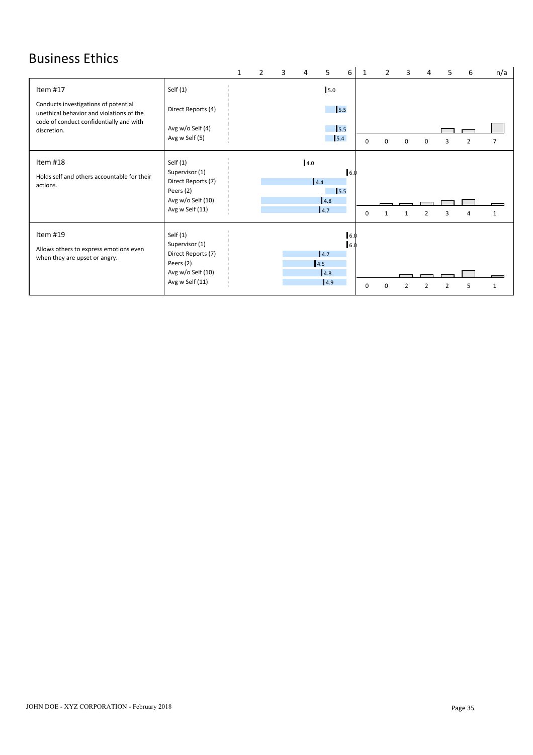# Business Ethics

|                                                                                     |                                                                                                         |  |     | 5.                            | 6          |          |          |   |   | 5 | 6 | n/a |  |
|-------------------------------------------------------------------------------------|---------------------------------------------------------------------------------------------------------|--|-----|-------------------------------|------------|----------|----------|---|---|---|---|-----|--|
| Item #17                                                                            | Self $(1)$                                                                                              |  |     | 5.0                           |            |          |          |   |   |   |   |     |  |
| Conducts investigations of potential<br>unethical behavior and violations of the    | Direct Reports (4)                                                                                      |  |     | 15.5                          |            |          |          |   |   |   |   |     |  |
| code of conduct confidentially and with<br>discretion.                              | Avg w/o Self (4)<br>Avg w Self (5)                                                                      |  |     | $\vert$ <sub>5.5</sub><br>5.4 |            | $\Omega$ | $\Omega$ | 0 | 0 | 3 | 2 | 7   |  |
| Item #18<br>Holds self and others accountable for their<br>actions.                 | Self $(1)$<br>Supervisor (1)<br>Direct Reports (7)<br>Peers (2)<br>Avg w/o Self (10)<br>Avg w Self (11) |  | 4.0 | 4.4<br>5.5<br>4.8<br>4.7      | 16.0       | 0        |          |   |   |   |   |     |  |
| Item #19<br>Allows others to express emotions even<br>when they are upset or angry. | Self $(1)$<br>Supervisor (1)<br>Direct Reports (7)<br>Peers (2)<br>Avg w/o Self (10)<br>Avg w Self (11) |  |     | 4.7<br>4.5<br>4.8<br>4.9      | 6.0<br>6.0 | $\Omega$ |          |   |   |   |   |     |  |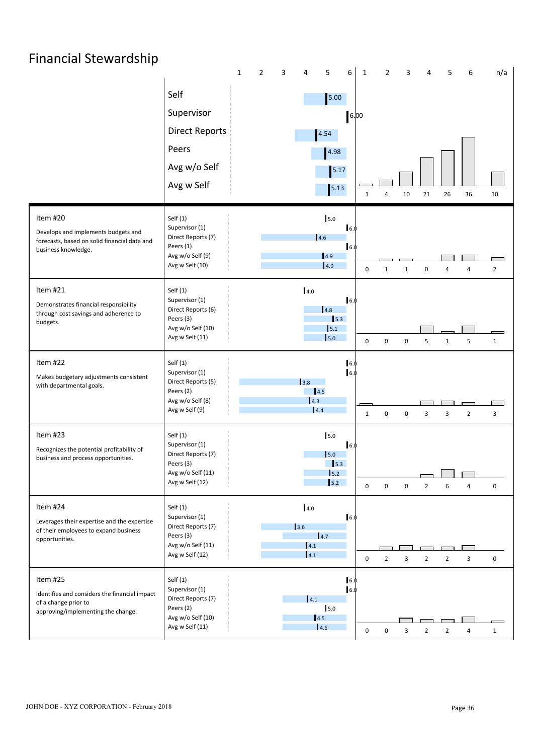| <b>Financial Stewardship</b>                                                         |                                      |                          |                          |                   |                            |                  |                     |                                            |  |
|--------------------------------------------------------------------------------------|--------------------------------------|--------------------------|--------------------------|-------------------|----------------------------|------------------|---------------------|--------------------------------------------|--|
|                                                                                      |                                      | $\overline{2}$<br>3<br>1 | 5<br>4                   | 6<br>$\mathbf{1}$ | $\overline{2}$<br>3        | 4                | 5<br>6              | n/a                                        |  |
|                                                                                      | Self                                 |                          | 5.00                     |                   |                            |                  |                     |                                            |  |
|                                                                                      | Supervisor                           |                          |                          | 6.00              |                            |                  |                     |                                            |  |
|                                                                                      | <b>Direct Reports</b>                |                          | 4.54                     |                   |                            |                  |                     |                                            |  |
|                                                                                      | Peers                                |                          | 4.98                     |                   |                            |                  |                     |                                            |  |
|                                                                                      | Avg w/o Self                         |                          | 5.17                     |                   |                            |                  |                     |                                            |  |
|                                                                                      | Avg w Self                           |                          | 5.13                     | 1                 | 10<br>$\overline{4}$       | 21               | 26<br>36            | 10                                         |  |
| Item #20                                                                             | Self $(1)$                           |                          | 5.0                      |                   |                            |                  |                     |                                            |  |
| Develops and implements budgets and                                                  | Supervisor (1)<br>Direct Reports (7) |                          | 4.6                      | 6.0               |                            |                  |                     |                                            |  |
| forecasts, based on solid financial data and<br>business knowledge.                  | Peers (1)<br>Avg w/o Self (9)        |                          | 4.9                      | 6.0               |                            |                  |                     |                                            |  |
|                                                                                      | Avg w Self (10)                      |                          | 4.9                      | $\mathbf 0$       | $\mathbf{1}$<br>1          | $\boldsymbol{0}$ | $\overline{4}$<br>4 | $\overline{\phantom{a}}$<br>$\overline{2}$ |  |
| Item #21                                                                             | Self(1)                              |                          | 4.0                      |                   |                            |                  |                     |                                            |  |
| Demonstrates financial responsibility<br>through cost savings and adherence to       | Supervisor (1)<br>Direct Reports (6) |                          | 4.8                      | 6.0               |                            |                  |                     |                                            |  |
| budgets.                                                                             | Peers (3)<br>Avg w/o Self (10)       |                          | 5.1                      | $\vert$ 5.3       |                            |                  |                     |                                            |  |
|                                                                                      | Avg w Self (11)                      |                          | 5.0                      | $\mathbf 0$       | 0<br>0                     | 5                | 5<br>$\mathbf{1}$   | $\mathbf{1}$                               |  |
| Item #22                                                                             | Self $(1)$                           |                          |                          | 6.0               |                            |                  |                     |                                            |  |
| Makes budgetary adjustments consistent<br>with departmental goals.                   | Supervisor (1)<br>Direct Reports (5) |                          | 3.8                      | 16.0              |                            |                  |                     |                                            |  |
|                                                                                      | Peers (2)<br>Avg w/o Self (8)        |                          | $\vert$ 4.5<br>4.3       |                   |                            |                  |                     |                                            |  |
|                                                                                      | Avg w Self (9)                       |                          | 4.4                      | $\mathbf{1}$      | $\pmb{0}$<br>$\pmb{0}$     | $\mathbf{3}$     | $\overline{2}$<br>3 | $\mathbf{3}$                               |  |
| Item #23                                                                             | Self(1)                              |                          | 5.0                      |                   |                            |                  |                     |                                            |  |
| Recognizes the potential profitability of<br>business and process opportunities.     | Supervisor (1)<br>Direct Reports (7) |                          | $\vert$ 5.0              | 16.0              |                            |                  |                     |                                            |  |
|                                                                                      | Peers (3)<br>Avg w/o Self (11)       |                          | $\vert$ 5.3<br>5.2       |                   |                            |                  |                     |                                            |  |
|                                                                                      | Avg w Self (12)                      |                          | 5.2                      | $\mathbf 0$       | $\mathsf 0$<br>$\mathbf 0$ | $\overline{2}$   | 6<br>$\overline{4}$ | $\mathbf 0$                                |  |
| Item #24                                                                             | Self $(1)$                           |                          | 4.0                      |                   |                            |                  |                     |                                            |  |
| Leverages their expertise and the expertise<br>of their employees to expand business | Supervisor (1)<br>Direct Reports (7) |                          | 3.6                      | 6.0               |                            |                  |                     |                                            |  |
| opportunities.                                                                       | Peers (3)<br>Avg w/o Self (11)       |                          | $\vert 4.7 \vert$<br>4.1 |                   |                            |                  |                     |                                            |  |
|                                                                                      | Avg w Self (12)                      |                          | $\vert 4.1 \vert$        | $\mathbf 0$       | $\overline{2}$<br>3        | $\overline{2}$   | 3<br>$\overline{2}$ | $\mathbf 0$                                |  |
| Item #25                                                                             | Self $(1)$<br>Supervisor (1)         |                          |                          | 6.0<br>16.0       |                            |                  |                     |                                            |  |
| Identifies and considers the financial impact<br>of a change prior to                | Direct Reports (7)                   |                          | 4.1                      |                   |                            |                  |                     |                                            |  |
| approving/implementing the change.                                                   | Peers (2)<br>Avg w/o Self (10)       |                          | 5.0<br> 4.5              |                   |                            |                  |                     |                                            |  |
|                                                                                      | Avg w Self (11)                      |                          | 4.6                      | $\mathbf 0$       | $\mathbf 0$<br>3           | $\overline{2}$   | $\overline{2}$<br>4 | $\mathbf{1}$                               |  |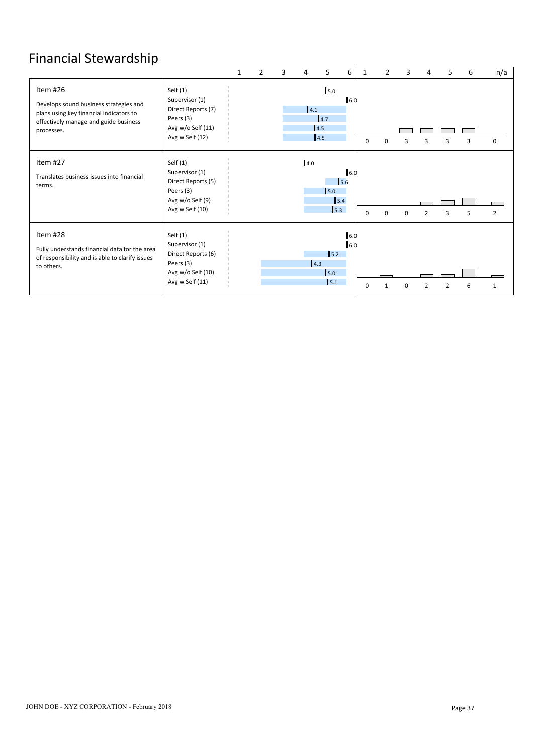# Financial Stewardship

|                                                                                                                                                      |                                                                                                         | $\mathbf{1}$ | 2 | 3 | 4   | 5                        | 6                  | 1        | $\overline{2}$ | 3            | 4              | 5 | 6            | n/a |
|------------------------------------------------------------------------------------------------------------------------------------------------------|---------------------------------------------------------------------------------------------------------|--------------|---|---|-----|--------------------------|--------------------|----------|----------------|--------------|----------------|---|--------------|-----|
| Item #26<br>Develops sound business strategies and<br>plans using key financial indicators to<br>effectively manage and guide business<br>processes. | Self $(1)$<br>Supervisor (1)<br>Direct Reports (7)<br>Peers (3)<br>Avg w/o Self (11)<br>Avg w Self (12) |              |   |   | 4.1 | 5.0<br>4.7<br>4.5<br>4.5 | 6.0                | $\Omega$ |                | $\mathbf{a}$ | з              | 3 | $\mathbf{a}$ | 0   |
| Item #27<br>Translates business issues into financial<br>terms.                                                                                      | Self $(1)$<br>Supervisor (1)<br>Direct Reports (5)<br>Peers (3)<br>Avg w/o Self (9)<br>Avg w Self (10)  |              |   |   | 4.0 | 5.0<br>5.3               | 16.0<br>5.6<br>5.4 | $\Omega$ | $\Omega$       | $\Omega$     | $\overline{2}$ | 3 |              | 2   |
| Item #28<br>Fully understands financial data for the area<br>of responsibility and is able to clarify issues<br>to others.                           | Self $(1)$<br>Supervisor (1)<br>Direct Reports (6)<br>Peers (3)<br>Avg w/o Self (10)<br>Avg w Self (11) |              |   |   | 4.3 | 5.2<br>5.0<br>5.1        | 6.0<br>16.0        | $\Omega$ |                |              |                |   | 6            |     |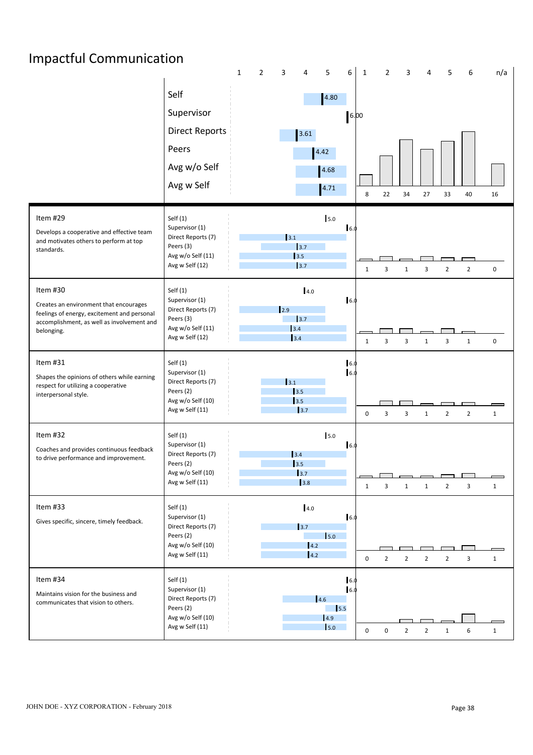# Impactful Communication

|                                                                                                                                                               |                                                                                                       | $\mathbf{1}$ | $\overline{2}$ | 3                                                                         | 5<br>4                                                                  | 6                          | $\mathbf{1}$ | $\overline{2}$ | 3                       |                | 5              | 6              | n/a          |  |
|---------------------------------------------------------------------------------------------------------------------------------------------------------------|-------------------------------------------------------------------------------------------------------|--------------|----------------|---------------------------------------------------------------------------|-------------------------------------------------------------------------|----------------------------|--------------|----------------|-------------------------|----------------|----------------|----------------|--------------|--|
|                                                                                                                                                               | Self<br>Supervisor<br><b>Direct Reports</b><br>Peers<br>Avg w/o Self<br>Avg w Self                    |              |                |                                                                           | 4.80<br>3.61<br>4.42<br>4.68<br>4.71                                    |                            | 6.00<br>8    | 22             | 34                      | 27             | 33             | 40             | 16           |  |
| Item #29<br>Develops a cooperative and effective team<br>and motivates others to perform at top<br>standards.                                                 | Self(1)<br>Supervisor (1)<br>Direct Reports (7)<br>Peers (3)<br>Avg w/o Self (11)<br>Avg w Self (12)  |              |                | 3.1<br>$\begin{array}{c} 3.7 \end{array}$<br>$\boxed{3.5}$<br>$\vert$ 3.7 | 5.0                                                                     | 6.0                        | $\mathbf{1}$ | 3              | $\mathbf{1}$            | 3              | $\overline{2}$ | $\overline{2}$ | 0            |  |
| Item #30<br>Creates an environment that encourages<br>feelings of energy, excitement and personal<br>accomplishment, as well as involvement and<br>belonging. | Self(1)<br>Supervisor (1)<br>Direct Reports (7)<br>Peers (3)<br>Avg w/o Self (11)<br>Avg w Self (12)  |              |                | $\vert$ 2.9<br>3.7<br>3.4<br>3.4                                          | 4.0                                                                     | 6.0                        | 1            | 3              | $\overline{\mathbf{3}}$ | $\mathbf{1}$   | 3              | $\mathbf{1}$   | 0            |  |
| Item #31<br>Shapes the opinions of others while earning<br>respect for utilizing a cooperative<br>interpersonal style.                                        | Self(1)<br>Supervisor (1)<br>Direct Reports (7)<br>Peers (2)<br>Avg w/o Self (10)<br>Avg w Self (11)  |              |                | 3.1<br>$\vert$ 3.5<br>3.5                                                 | 3.7                                                                     | 6.0<br>6.0                 | 0            | 3              | $\overline{3}$          | $\mathbf{1}$   | $\overline{2}$ | $\overline{2}$ | $\mathbf{1}$ |  |
| Item #32<br>Coaches and provides continuous feedback<br>to drive performance and improvement.                                                                 | Self (1)<br>Supervisor (1)<br>Direct Reports (7)<br>Peers (2)<br>Avg w/o Self (10)<br>Avg w Self (11) |              |                | 3.4<br>$\vert$ 3.5<br>$3.7$                                               | 5.0<br>3.8                                                              | 6.0                        | $\mathbf{1}$ | 3              | $\mathbf{1}$            | $\mathbf{1}$   | $\overline{2}$ | 3              | $\mathbf{1}$ |  |
| Item #33<br>Gives specific, sincere, timely feedback.                                                                                                         | Self (1)<br>Supervisor (1)<br>Direct Reports (7)<br>Peers (2)<br>Avg w/o Self (10)<br>Avg w Self (11) |              |                |                                                                           | $4.0\,$<br>$\vert$ 3.7<br>5.0<br>$\vert 4.2 \vert$<br>$\vert 4.2 \vert$ | 16.0                       | 0            | $\overline{2}$ | $\overline{2}$          | $\overline{2}$ | $\overline{2}$ | $\overline{3}$ | $\mathbf{1}$ |  |
| Item #34<br>Maintains vision for the business and<br>communicates that vision to others.                                                                      | Self(1)<br>Supervisor (1)<br>Direct Reports (7)<br>Peers (2)<br>Avg w/o Self (10)<br>Avg w Self (11)  |              |                |                                                                           | 4.6<br>4.9<br>$\vert$ 5.0                                               | 16.0<br>6.0<br>$\vert$ 5.5 | 0            | $\mathbf 0$    | $\overline{2}$          | $\overline{2}$ | $\mathbf{1}$   | 6              | $\mathbf{1}$ |  |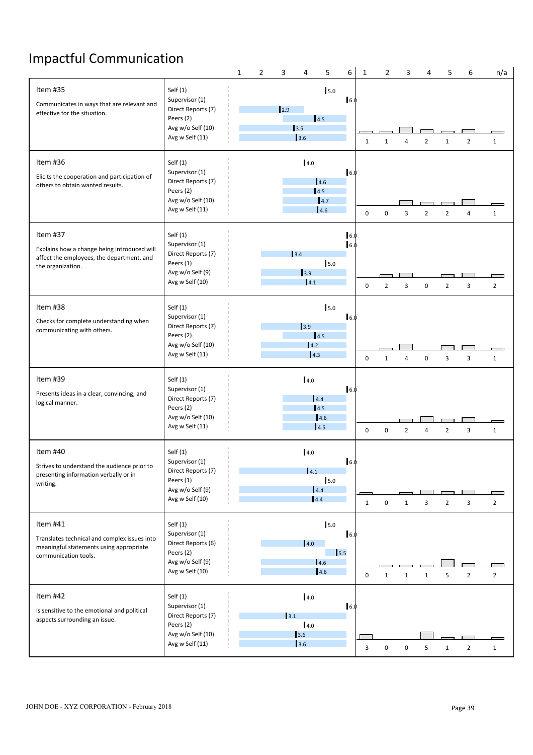# Impactful Communication

|                                                                                                                             |                                                                                                         | 1 | $\overline{2}$ | 3           | 4                            | 5                        | 6           | $\mathbf{1}$   | $\overline{2}$   | 3                       | 4              | 5              | 6              | n/a                              |  |
|-----------------------------------------------------------------------------------------------------------------------------|---------------------------------------------------------------------------------------------------------|---|----------------|-------------|------------------------------|--------------------------|-------------|----------------|------------------|-------------------------|----------------|----------------|----------------|----------------------------------|--|
| Item #35<br>Communicates in ways that are relevant and<br>effective for the situation.                                      | Self $(1)$<br>Supervisor (1)<br>Direct Reports (7)<br>Peers (2)<br>Avg w/o Self (10)<br>Avg w Self (11) |   |                | 12.9        | 3.5<br>3.6                   | 15.0<br>4.5              | 6.0         | 1              | $\mathbf{1}$     | $\overline{A}$          | $\overline{2}$ | 1              | $\overline{2}$ | $\mathbf{1}$                     |  |
| Item #36<br>Elicits the cooperation and participation of<br>others to obtain wanted results.                                | Self $(1)$<br>Supervisor (1)<br>Direct Reports (7)<br>Peers (2)<br>Avg w/o Self (10)<br>Avg w Self (11) |   |                |             | 4.0                          | 4.6<br>4.5<br>4.7<br>4.6 | $\vert 6.$  | $\mathbf 0$    | $\mathbf 0$      | $\overline{3}$          | $\overline{2}$ | $\overline{2}$ |                | $\mathbf{1}$                     |  |
| Item #37<br>Explains how a change being introduced will<br>affect the employees, the department, and<br>the organization.   | Self $(1)$<br>Supervisor (1)<br>Direct Reports (7)<br>Peers (1)<br>Avg w/o Self (9)<br>Avg w Self (10)  |   |                |             | $3.4$<br>$\vert$ 3.9<br> 4.1 | 5.0                      | 6.0<br>6.1  | $\mathbf 0$    | $\overline{2}$   | $\overline{\mathbf{3}}$ | $\mathbf 0$    | $\overline{2}$ | $\overline{3}$ | $\overline{2}$                   |  |
| Item #38<br>Checks for complete understanding when<br>communicating with others.                                            | Self $(1)$<br>Supervisor (1)<br>Direct Reports (7)<br>Peers (2)<br>Avg w/o Self (10)<br>Avg w Self (11) |   |                |             | 3.9<br>4.2                   | 5.0<br> 4.5 <br> 4.3     | 6.0         | $\mathbf 0$    | $\mathbf{1}$     | $\overline{4}$          | $\mathbf 0$    | $\overline{3}$ | 3              | $\mathbf{1}$                     |  |
| Item #39<br>Presents ideas in a clear, convincing, and<br>logical manner.                                                   | Self $(1)$<br>Supervisor (1)<br>Direct Reports (7)<br>Peers (2)<br>Avg w/o Self (10)<br>Avg w Self (11) |   |                |             | 4.0                          | 4.4<br>4.5<br>4.6<br>4.5 | 6.0         | $\mathbf 0$    | $\mathbf 0$      | $\overline{2}$          | $\overline{4}$ | $\overline{2}$ | 3              | $\mathbf{1}$                     |  |
| Item #40<br>Strives to understand the audience prior to<br>presenting information verbally or in<br>writing.                | Self $(1)$<br>Supervisor (1)<br>Direct Reports (7)<br>Peers (1)<br>Avg w/o Self (9)<br>Avg w Self (10)  |   |                |             | 4.0<br>4.1                   | 5.0<br>4.4<br>4.4        | 6.0         | 1              | $\mathbf 0$      | $\mathbf{1}$            | 3              | $\overline{2}$ | 3              | <u>a sa sa</u><br>$\overline{2}$ |  |
| Item #41<br>Translates technical and complex issues into<br>meaningful statements using appropriate<br>communication tools. | Self $(1)$<br>Supervisor (1)<br>Direct Reports (6)<br>Peers (2)<br>Avg w/o Self (9)<br>Avg w Self (10)  |   |                |             | 4.0                          | 5.0<br>4.6<br>4.6        | 16.0<br>5.5 | 0              | 1                | 1                       | $\mathbf{1}$   | 5              | $\overline{2}$ | $\overline{2}$                   |  |
| Item #42<br>Is sensitive to the emotional and political<br>aspects surrounding an issue.                                    | Self $(1)$<br>Supervisor (1)<br>Direct Reports (7)<br>Peers (2)<br>Avg w/o Self (10)<br>Avg w Self (11) |   |                | $\vert$ 3.1 | 4.0<br>4.0<br>3.6<br>3.6     |                          | 16.0        | $\overline{3}$ | $\boldsymbol{0}$ | $\mathbf 0$             | 5              | 1              | $\overline{2}$ | $\mathbf{1}$                     |  |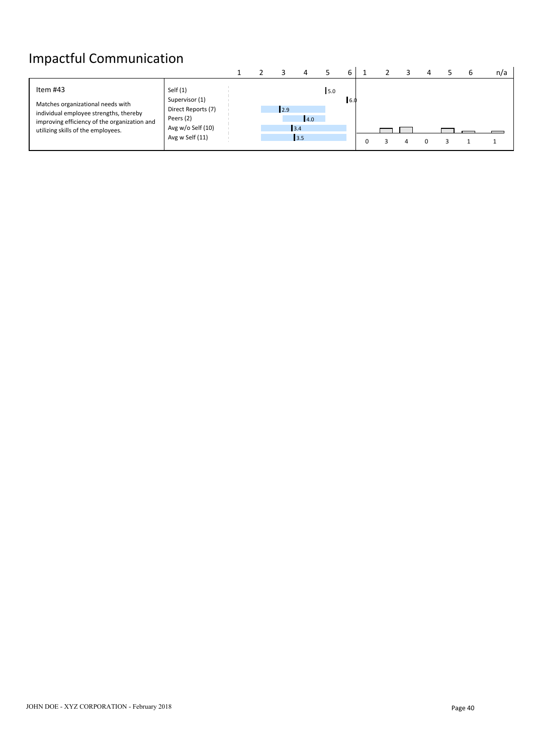# Impactful Communication

| Item #43<br>Self $(1)$<br>15.0<br>Supervisor (1)<br><b>6.0</b><br>Matches organizational needs with<br>Direct Reports (7)<br>12.9<br>individual employee strengths, thereby<br>Peers (2)<br>4.0<br>improving efficiency of the organization and<br>Avg w/o Self (10)<br>3.4<br>utilizing skills of the employees.<br>Avg w Self (11)<br>$\begin{array}{c} \boxed{3.5} \end{array}$ |
|------------------------------------------------------------------------------------------------------------------------------------------------------------------------------------------------------------------------------------------------------------------------------------------------------------------------------------------------------------------------------------|
|                                                                                                                                                                                                                                                                                                                                                                                    |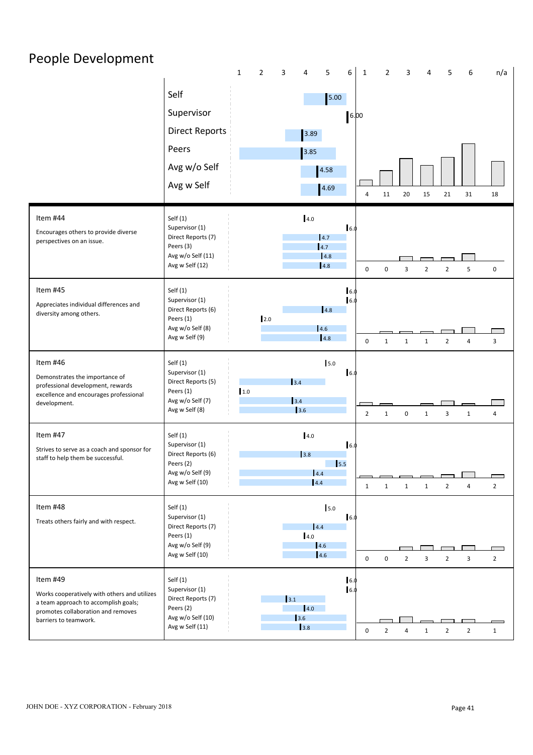| People Development                                                                   |                                      |                                |                    |                        |                                |                |                |                                  |                          |  |
|--------------------------------------------------------------------------------------|--------------------------------------|--------------------------------|--------------------|------------------------|--------------------------------|----------------|----------------|----------------------------------|--------------------------|--|
|                                                                                      |                                      | $\mathbf{1}$<br>$\overline{2}$ | 3<br>4             | 5<br>6<br>1            | $\overline{2}$                 | 3              | 4              | 5<br>6                           | n/a                      |  |
|                                                                                      | Self                                 |                                |                    | 5.00                   |                                |                |                |                                  |                          |  |
|                                                                                      | Supervisor                           |                                |                    | 6.00                   |                                |                |                |                                  |                          |  |
|                                                                                      | <b>Direct Reports</b>                |                                | 3.89               |                        |                                |                |                |                                  |                          |  |
|                                                                                      | Peers                                |                                | 3.85               |                        |                                |                |                |                                  |                          |  |
|                                                                                      | Avg w/o Self                         |                                |                    | 4.58                   |                                |                |                |                                  |                          |  |
|                                                                                      | Avg w Self                           |                                |                    | 4.69                   | 11<br>$\overline{4}$           | 20             | 15             | 21<br>31                         | 18                       |  |
| Item #44                                                                             | Self(1)                              |                                | 4.0                |                        |                                |                |                |                                  |                          |  |
| Encourages others to provide diverse                                                 | Supervisor (1)<br>Direct Reports (7) |                                |                    | 16.0<br>4.7            |                                |                |                |                                  |                          |  |
| perspectives on an issue.                                                            | Peers (3)<br>Avg w/o Self (11)       |                                |                    | 4.7<br> 4.8            |                                |                |                |                                  |                          |  |
|                                                                                      | Avg w Self (12)                      |                                |                    | 4.8                    | $\mathbf 0$<br>$\mathsf 0$     | $\overline{3}$ | $\overline{2}$ | 5<br>$\overline{2}$              | $\mathbf 0$              |  |
| Item #45                                                                             | Self $(1)$                           |                                |                    | 6.                     |                                |                |                |                                  |                          |  |
| Appreciates individual differences and<br>diversity among others.                    | Supervisor (1)<br>Direct Reports (6) |                                |                    | $\vert$ 6.<br>4.8      |                                |                |                |                                  |                          |  |
|                                                                                      | Peers (1)<br>Avg w/o Self (8)        | 2.0                            |                    | 4.6                    |                                |                |                |                                  |                          |  |
|                                                                                      | Avg w Self (9)                       |                                |                    | 4.8                    | $\mathbf 0$<br>$\mathbf{1}$    | $\mathbf{1}$   | $\mathbf{1}$   | $\overline{2}$<br>4              | $\overline{3}$           |  |
| Item #46                                                                             | Self $(1)$                           |                                |                    | 5.0                    |                                |                |                |                                  |                          |  |
| Demonstrates the importance of<br>professional development, rewards                  | Supervisor (1)<br>Direct Reports (5) |                                | 3.4                | 16.0                   |                                |                |                |                                  |                          |  |
| excellence and encourages professional<br>development.                               | Peers (1)<br>Avg w/o Self (7)        | 1.0                            | 3.4                |                        |                                |                |                |                                  |                          |  |
|                                                                                      | Avg w Self (8)                       |                                | 3.6                |                        | $\overline{2}$<br>$\mathbf{1}$ | $\mathbf 0$    | $\mathbf{1}$   | 3<br>$\mathbf{1}$                | $\overline{4}$           |  |
| Item #47                                                                             | Self(1)                              |                                | 4.0                |                        |                                |                |                |                                  |                          |  |
| Strives to serve as a coach and sponsor for<br>staff to help them be successful.     | Supervisor (1)<br>Direct Reports (6) |                                | 3.8                | 16.0                   |                                |                |                |                                  |                          |  |
|                                                                                      | Peers (2)<br>Avg w/o Self (9)        |                                | 4.4                | $\vert$ <sub>5.5</sub> |                                |                |                |                                  | $\overline{\phantom{0}}$ |  |
|                                                                                      | Avg w Self (10)                      |                                | 4.4                |                        | $\mathbf{1}$<br>1              | $\mathbf{1}$   | $\mathbf{1}$   | $\overline{2}$<br>4              | $\overline{2}$           |  |
| Item #48                                                                             | Self $(1)$                           |                                |                    | 5.0                    |                                |                |                |                                  |                          |  |
| Treats others fairly and with respect.                                               | Supervisor (1)<br>Direct Reports (7) |                                | 4.4                | 16.0                   |                                |                |                |                                  |                          |  |
|                                                                                      | Peers (1)<br>Avg w/o Self (9)        |                                | 4.0                | 4.6                    |                                |                |                |                                  | $\Box$                   |  |
|                                                                                      | Avg w Self (10)                      |                                |                    | 4.6                    | $\mathbf 0$<br>$\mathbf 0$     | $\overline{2}$ | $\overline{3}$ | 3<br>$\overline{2}$              | $\overline{2}$           |  |
| Item #49                                                                             | Self(1)                              |                                |                    | 16.0<br>16.0           |                                |                |                |                                  |                          |  |
| Works cooperatively with others and utilizes<br>a team approach to accomplish goals; | Supervisor (1)<br>Direct Reports (7) |                                | $\vert$ 3.1        |                        |                                |                |                |                                  |                          |  |
| promotes collaboration and removes<br>barriers to teamwork.                          | Peers (2)<br>Avg w/o Self (10)       |                                | 4.0<br>$\vert$ 3.6 |                        |                                |                |                |                                  |                          |  |
|                                                                                      | Avg w Self (11)                      |                                | 3.8                |                        | $\overline{2}$<br>$\mathbf 0$  | $\overline{4}$ | $\mathbf{1}$   | $\overline{2}$<br>$\overline{2}$ | $\mathbf{1}$             |  |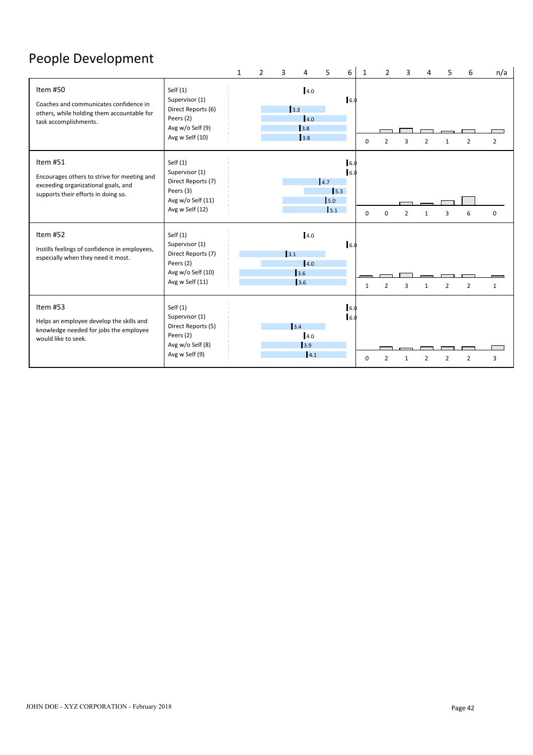# People Development

|                                                                                                                                       |                                                                                                         | $\mathbf{1}$ | $\mathfrak{p}$ | $\mathbf{a}$ | 4                        | 5                 | 6           | 1           | $\overline{2}$ | 3              |              | 5              | 6              | n/a            |
|---------------------------------------------------------------------------------------------------------------------------------------|---------------------------------------------------------------------------------------------------------|--------------|----------------|--------------|--------------------------|-------------------|-------------|-------------|----------------|----------------|--------------|----------------|----------------|----------------|
| Item #50<br>Coaches and communicates confidence in<br>others, while holding them accountable for<br>task accomplishments.             | Self $(1)$<br>Supervisor (1)<br>Direct Reports (6)<br>Peers (2)<br>Avg w/o Self (9)<br>Avg w Self (10)  |              |                | 3.3          | 4.0<br>4.0<br>3.8<br>3.8 |                   | 16.0        | $\Omega$    | $\overline{2}$ | 3              |              |                |                | $\overline{2}$ |
| Item #51<br>Encourages others to strive for meeting and<br>exceeding organizational goals, and<br>supports their efforts in doing so. | Self $(1)$<br>Supervisor (1)<br>Direct Reports (7)<br>Peers (3)<br>Avg w/o Self (11)<br>Avg w Self (12) |              |                |              |                          | 4.7<br>5.0<br>5.1 | 16.0<br>5.3 | $\mathbf 0$ | U              | $\mathcal{P}$  |              |                | 6              | 0              |
| Item #52<br>Instills feelings of confidence in employees,<br>especially when they need it most.                                       | Self $(1)$<br>Supervisor (1)<br>Direct Reports (7)<br>Peers (2)<br>Avg w/o Self (10)<br>Avg w Self (11) |              |                | 3.1          | 4.0<br>4.0<br>3.6<br>3.6 |                   | 6.0         | 1           | $\overline{2}$ | $\overline{3}$ | $\mathbf{1}$ | $\overline{2}$ | $\overline{2}$ | $\mathbf{1}$   |
| Item #53<br>Helps an employee develop the skills and<br>knowledge needed for jobs the employee<br>would like to seek.                 | Self $(1)$<br>Supervisor (1)<br>Direct Reports (5)<br>Peers (2)<br>Avg w/o Self (8)<br>Avg w Self (9)   |              |                |              | 3.4<br>4.0<br>3.9<br>4.1 |                   | 6.0<br>6.0  | O           |                |                |              |                | $\mathcal{P}$  | 3              |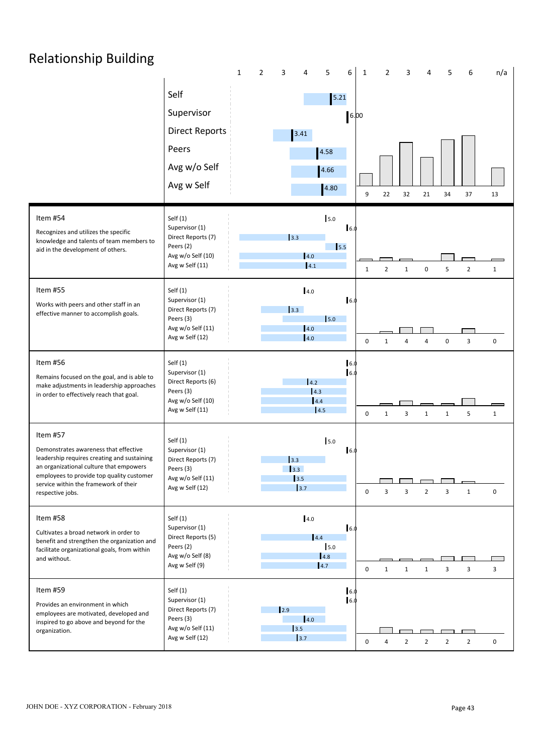# Relationship Building

|                                                                                                                                                                                                                                                       |                                                                                                         | 1<br>2 |                                          | 5                                           | 6          | 1            | 2              |                       |                |                | 6              | n/a          |  |
|-------------------------------------------------------------------------------------------------------------------------------------------------------------------------------------------------------------------------------------------------------|---------------------------------------------------------------------------------------------------------|--------|------------------------------------------|---------------------------------------------|------------|--------------|----------------|-----------------------|----------------|----------------|----------------|--------------|--|
|                                                                                                                                                                                                                                                       | Self<br>Supervisor<br><b>Direct Reports</b><br>Peers<br>Avg w/o Self<br>Avg w Self                      |        | 3.41                                     | $5.21$<br>4.58<br>4.66<br>4.80              | 6.00       | 9            | 22             | 32                    | 21             | 34             | 37             | 13           |  |
| Item #54<br>Recognizes and utilizes the specific<br>knowledge and talents of team members to<br>aid in the development of others.                                                                                                                     | Self $(1)$<br>Supervisor (1)<br>Direct Reports (7)<br>Peers (2)<br>Avg w/o Self (10)<br>Avg w Self (11) |        | 3.3                                      | 5.0<br>$\vert$ <sub>5.5</sub><br>4.0<br>4.1 | 16.0       | $\mathbf{1}$ | $\overline{2}$ | $\mathbf{1}$          | $\pmb{0}$      | 5              | $\overline{2}$ | $\mathbf 1$  |  |
| Item #55<br>Works with peers and other staff in an<br>effective manner to accomplish goals.                                                                                                                                                           | Self $(1)$<br>Supervisor (1)<br>Direct Reports (7)<br>Peers (3)<br>Avg w/o Self (11)<br>Avg w Self (12) |        | 3.3                                      | 4.0<br>5.0<br> 4.0 <br> 4.0                 | 6.0        | $\mathbf 0$  | 1              | $\boldsymbol{\Delta}$ | 4              | 0              | $\overline{3}$ | $\mathbf 0$  |  |
| Item #56<br>Remains focused on the goal, and is able to<br>make adjustments in leadership approaches<br>in order to effectively reach that goal.                                                                                                      | Self $(1)$<br>Supervisor (1)<br>Direct Reports (6)<br>Peers (3)<br>Avg w/o Self (10)<br>Avg w Self (11) |        |                                          | 4.2<br>$\vert$ 4.3<br>4.4<br>4.5            | 6.0<br>6.0 | $\mathbf 0$  | 1              | $\overline{3}$        | $\mathbf{1}$   | $\mathbf{1}$   | 5              | $\mathbf{1}$ |  |
| Item #57<br>Demonstrates awareness that effective<br>leadership requires creating and sustaining<br>an organizational culture that empowers<br>employees to provide top quality customer<br>service within the framework of their<br>respective jobs. | Self $(1)$<br>Supervisor (1)<br>Direct Reports (7)<br>Peers (3)<br>Avg w/o Self (11)<br>Avg w Self (12) |        | 3.3<br>$\vert$ 3.3<br>$\vert$ 3.5<br>3.7 | 5.0                                         | 6.0        | 0            | 3              | 3                     | $\overline{2}$ | $\overline{3}$ | $\mathbf{1}$   | 0            |  |
| Item #58<br>Cultivates a broad network in order to<br>benefit and strengthen the organization and<br>facilitate organizational goals, from within<br>and without.                                                                                     | Self $(1)$<br>Supervisor (1)<br>Direct Reports (5)<br>Peers (2)<br>Avg w/o Self (8)<br>Avg w Self (9)   |        |                                          | 4.0<br>4.4<br>5.0<br>4.8<br>4.7             | 6.0        | 0            | 1              | $\mathbf{1}$          | $\mathbf{1}$   | $\overline{3}$ | $\overline{3}$ | 3            |  |
| Item #59<br>Provides an environment in which<br>employees are motivated, developed and<br>inspired to go above and beyond for the<br>organization.                                                                                                    | Self(1)<br>Supervisor (1)<br>Direct Reports (7)<br>Peers (3)<br>Avg w/o Self (11)<br>Avg w Self (12)    |        | 12.9<br>3.5<br>3.7                       | $\vert 4.0 \vert$                           | 6.0<br>6.0 | $\mathbf 0$  | 4              | $\overline{2}$        | $\overline{2}$ | $\overline{2}$ | $\overline{2}$ | 0            |  |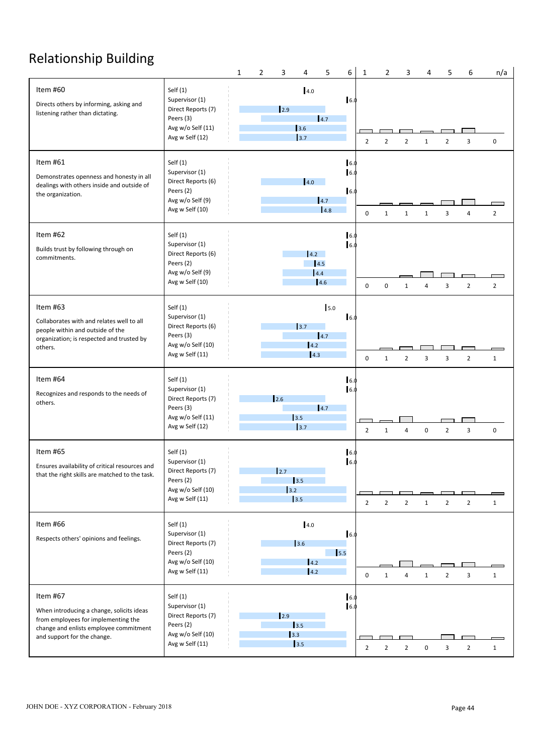# Relationship Building<br>
The South of the South States of the South States of the South States of the South States of the South States

|                                                                                                                                                                       |                                                                                                         | $\mathbf{1}$ | $\overline{2}$ | 3            | 4                                                                    | 5                 | 6                 | $\mathbf{1}$   | $\overline{2}$ | 3                     | 4                | 5              | 6              | n/a            |  |
|-----------------------------------------------------------------------------------------------------------------------------------------------------------------------|---------------------------------------------------------------------------------------------------------|--------------|----------------|--------------|----------------------------------------------------------------------|-------------------|-------------------|----------------|----------------|-----------------------|------------------|----------------|----------------|----------------|--|
| Item #60<br>Directs others by informing, asking and<br>listening rather than dictating.                                                                               | Self $(1)$<br>Supervisor (1)<br>Direct Reports (7)<br>Peers (3)<br>Avg w/o Self (11)<br>Avg w Self (12) |              |                | $\vert$ 2.9  | 4.0<br>3.6<br>3.7                                                    | 4.7               | 6.0               | $\overline{2}$ | $\overline{2}$ | 2                     | 1                | 2              | 3              | $\mathbf 0$    |  |
| Item #61<br>Demonstrates openness and honesty in all<br>dealings with others inside and outside of<br>the organization.                                               | Self $(1)$<br>Supervisor (1)<br>Direct Reports (6)<br>Peers (2)<br>Avg w/o Self (9)<br>Avg w Self (10)  |              |                |              | 4.0                                                                  | 4.7<br>4.8        | 6.0<br>6.1<br>6.0 | 0              | $\mathbf{1}$   | $\mathbf{1}$          | $\mathbf{1}$     | 3              |                | $\overline{2}$ |  |
| Item #62<br>Builds trust by following through on<br>commitments.                                                                                                      | Self $(1)$<br>Supervisor (1)<br>Direct Reports (6)<br>Peers (2)<br>Avg w/o Self (9)<br>Avg w Self (10)  |              |                |              | 4.2                                                                  | 4.5<br>4.4<br>4.6 | 6.0<br>6.0        | $\mathbf 0$    | 0              | $\mathbf{1}$          | 4                | 3              | $\overline{2}$ | $\overline{2}$ |  |
| Item #63<br>Collaborates with and relates well to all<br>people within and outside of the<br>organization; is respected and trusted by<br>others.                     | Self $(1)$<br>Supervisor (1)<br>Direct Reports (6)<br>Peers (3)<br>Avg w/o Self (10)<br>Avg w Self (11) |              |                |              | $\begin{array}{c} \boxed{3.7} \end{array}$<br>4.2<br> 4.3            | 5.0<br>14.7       | 6.0               | $\mathbf 0$    | $\mathbf{1}$   | $\overline{2}$        | 3                | 3              | $\overline{2}$ | $\mathbf{1}$   |  |
| Item #64<br>Recognizes and responds to the needs of<br>others.                                                                                                        | Self(1)<br>Supervisor (1)<br>Direct Reports (7)<br>Peers (3)<br>Avg w/o Self (11)<br>Avg w Self (12)    |              |                | 2.6          | $\begin{array}{c} \boxed{3.5} \end{array}$<br>$\vert$ <sub>3.7</sub> | 4.7               | 6.0<br>6.0        | $\overline{2}$ | 1              | $\boldsymbol{\Delta}$ | $\mathbf 0$      | $\overline{2}$ | 3              | 0              |  |
| Item #65<br>Ensures availability of critical resources and<br>that the right skills are matched to the task.                                                          | Self $(1)$<br>Supervisor (1)<br>Direct Reports (7)<br>Peers (2)<br>Avg w/o Self (10)<br>Avg w Self (11) |              |                | 2.7<br>$3.2$ | 3.5<br>3.5                                                           |                   | 6.<br>6.0         | $\overline{2}$ | $\overline{2}$ | $\overline{2}$        | $\mathbf{1}$     | $\overline{2}$ | $\overline{2}$ | $\mathbf{1}$   |  |
| Item #66<br>Respects others' opinions and feelings.                                                                                                                   | Self $(1)$<br>Supervisor (1)<br>Direct Reports (7)<br>Peers (2)<br>Avg w/o Self (10)<br>Avg w Self (11) |              |                |              | 4.0<br>3.6<br>4.2<br>$\vert 4.2 \vert$                               |                   | 6.0<br>5.5        | 0              | 1              | $\overline{4}$        | 1                | $\overline{2}$ | 3              | $\mathbf{1}$   |  |
| Item #67<br>When introducing a change, solicits ideas<br>from employees for implementing the<br>change and enlists employee commitment<br>and support for the change. | Self(1)<br>Supervisor (1)<br>Direct Reports (7)<br>Peers (2)<br>Avg w/o Self (10)<br>Avg w Self (11)    |              |                | $\vert$ 2.9  | 3.5<br>$\begin{array}{c} \boxed{3.3} \end{array}$<br>3.5             |                   | 6.0<br>6.0        | $\overline{2}$ | $\overline{2}$ | $\overline{2}$        | $\boldsymbol{0}$ | 3              | $\overline{2}$ | $\mathbf{1}$   |  |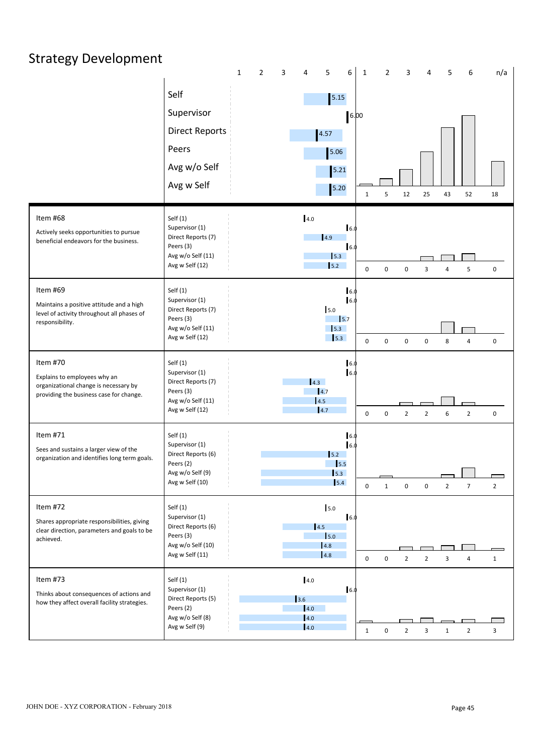| <b>Strategy Development</b>                                                                                                  |                                                                                                         |                          |                                                                                      |                                                  |                                        |                                  |                |
|------------------------------------------------------------------------------------------------------------------------------|---------------------------------------------------------------------------------------------------------|--------------------------|--------------------------------------------------------------------------------------|--------------------------------------------------|----------------------------------------|----------------------------------|----------------|
|                                                                                                                              | Self<br>Supervisor<br><b>Direct Reports</b><br>Peers<br>Avg w/o Self<br>Avg w Self                      | $\overline{2}$<br>3<br>1 | 5<br>6<br>4<br>$5.15$<br>4.57<br>5.06<br>5.21<br>5.20                                | $\overline{2}$<br>$\mathbf{1}$<br>6.00<br>5<br>1 | 3<br>$\overline{4}$<br>$12\,$<br>25    | 5<br>6<br>43<br>52               | n/a<br>18      |
| Item #68<br>Actively seeks opportunities to pursue<br>beneficial endeavors for the business.                                 | Self $(1)$<br>Supervisor (1)<br>Direct Reports (7)<br>Peers (3)<br>Avg w/o Self (11)<br>Avg w Self (12) |                          | 4.0<br>6.0<br>4.9<br>6.0<br>5.3<br>5.2                                               | $\mathbf 0$<br>$\mathbf 0$                       | $\mathbf 0$<br>$\overline{\mathbf{3}}$ | 5<br>$\overline{4}$              | $\mathbf 0$    |
| Item #69<br>Maintains a positive attitude and a high<br>level of activity throughout all phases of<br>responsibility.        | Self $(1)$<br>Supervisor (1)<br>Direct Reports (7)<br>Peers (3)<br>Avg w/o Self (11)<br>Avg w Self (12) |                          | 16.0<br>16.0<br>5.0<br>$\mathsf{I}$ <sub>5.7</sub><br>$\vert$ 5.3<br>$\frac{1}{5.3}$ | $\mathbf 0$<br>$\mathsf 0$                       | $\pmb{0}$<br>$\mathbf 0$               | 8<br>4                           | $\mathbf 0$    |
| Item #70<br>Explains to employees why an<br>organizational change is necessary by<br>providing the business case for change. | Self $(1)$<br>Supervisor (1)<br>Direct Reports (7)<br>Peers (3)<br>Avg w/o Self (11)<br>Avg w Self (12) |                          | 6.0<br>16.0<br>4.3<br>$\vert$ 4.7<br> 4.5<br> 4.7                                    | $\mathsf 0$<br>0                                 | $\overline{2}$<br>$\overline{2}$       | $\overline{2}$<br>6              | $\mathbf 0$    |
| Item #71<br>Sees and sustains a larger view of the<br>organization and identifies long term goals.                           | Self $(1)$<br>Supervisor (1)<br>Direct Reports (6)<br>Peers (2)<br>Avg w/o Self (9)<br>Avg w Self (10)  |                          | 6.0<br>6.0<br>$\overline{5.2}$<br>$\vert$ 5.5<br>$\vert$ 5.3<br>5.4                  | $\mathbf{1}$<br>$\mathbf 0$                      | $\boldsymbol{0}$<br>$\pmb{0}$          | $\overline{7}$<br>$\overline{2}$ | $\overline{2}$ |
| Item #72<br>Shares appropriate responsibilities, giving<br>clear direction, parameters and goals to be<br>achieved.          | Self $(1)$<br>Supervisor (1)<br>Direct Reports (6)<br>Peers (3)<br>Avg w/o Self (10)<br>Avg w Self (11) |                          | 5.0<br>16.0<br>4.5<br>5.0<br>4.8<br>4.8                                              | $\mathbf 0$<br>0                                 | $\overline{2}$<br>$\overline{2}$       | 3<br>4                           | $\mathbf{1}$   |
| Item #73<br>Thinks about consequences of actions and<br>how they affect overall facility strategies.                         | Self $(1)$<br>Supervisor (1)<br>Direct Reports (5)<br>Peers (2)<br>Avg w/o Self (8)<br>Avg w Self (9)   |                          | 4.0<br>6.0<br>3.6<br>4.0<br>4.0<br>4.0                                               | $\mathbf 0$<br>$\mathbf{1}$                      | $\overline{2}$<br>3                    | $\overline{2}$<br>$\mathbf{1}$   | $\overline{3}$ |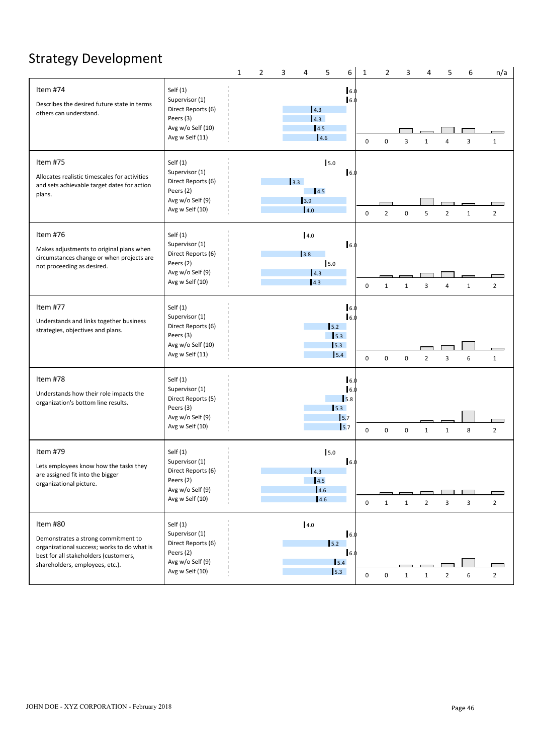# Strategy Development

|                                                                                                                                                                            |                                                                                                         | 1 | 2 | 3   | 4                                                    | 5                                        | 6                  | $\overline{2}$<br>$\mathbf{1}$ |              | 3 | 4              | 5              | 6            | n/a                      |  |
|----------------------------------------------------------------------------------------------------------------------------------------------------------------------------|---------------------------------------------------------------------------------------------------------|---|---|-----|------------------------------------------------------|------------------------------------------|--------------------|--------------------------------|--------------|---|----------------|----------------|--------------|--------------------------|--|
| Item #74<br>Describes the desired future state in terms<br>others can understand.                                                                                          | Self $(1)$<br>Supervisor (1)<br>Direct Reports (6)<br>Peers (3)<br>Avg w/o Self (10)<br>Avg w Self (11) |   |   |     | 4.3 <br>4.3<br>4.5<br>4.6                            |                                          | 6.0<br>6.0         | $\mathbf 0$<br>$\mathbf 0$     | 3            |   | $\mathbf{1}$   | $\overline{4}$ | 3            | $\mathbf{1}$             |  |
| Item #75<br>Allocates realistic timescales for activities<br>and sets achievable target dates for action<br>plans.                                                         | Self $(1)$<br>Supervisor (1)<br>Direct Reports (6)<br>Peers (2)<br>Avg w/o Self (9)<br>Avg w Self (10)  |   |   | 3.3 | 4.5<br>3.9<br>4.0                                    | 5.0                                      | 16.0               | $\overline{2}$<br>0            | $\mathbf 0$  |   | 5              | $\overline{2}$ | $\mathbf{1}$ | $\overline{2}$           |  |
| Item #76<br>Makes adjustments to original plans when<br>circumstances change or when projects are<br>not proceeding as desired.                                            | Self $(1)$<br>Supervisor (1)<br>Direct Reports (6)<br>Peers (2)<br>Avg w/o Self (9)<br>Avg w Self (10)  |   |   |     | 4.0<br>3.8<br> 4.3 <br> 4.3                          | 5.0                                      | 6.0                | $\mathbf 0$<br>1               | 1            |   | 3              | $\overline{4}$ | $\mathbf{1}$ | $\overline{2}$           |  |
| Item #77<br>Understands and links together business<br>strategies, objectives and plans.                                                                                   | Self $(1)$<br>Supervisor (1)<br>Direct Reports (6)<br>Peers (3)<br>Avg w/o Self (10)<br>Avg w Self (11) |   |   |     |                                                      | 5.2<br>$\vert$ 5.3<br>$\vert$ 5.3<br>5.4 | 16.<br>6.1         | $\mathbf 0$<br>0               | $\mathbf 0$  |   | $\overline{2}$ | 3              | 6            | $\mathbf{1}$             |  |
| Item #78<br>Understands how their role impacts the<br>organization's bottom line results.                                                                                  | Self $(1)$<br>Supervisor (1)<br>Direct Reports (5)<br>Peers (3)<br>Avg w/o Self (9)<br>Avg w Self (10)  |   |   |     |                                                      | 5.3<br>15.7<br>$\vert$ <sub>5.7</sub>    | 16.0<br>6.1<br>5.8 | 0<br>$\mathbf 0$               | $\mathbf 0$  |   | $\mathbf{1}$   | 1              | 8            | $\overline{2}$           |  |
| Item #79<br>Lets employees know how the tasks they<br>are assigned fit into the bigger<br>organizational picture.                                                          | Self $(1)$<br>Supervisor (1)<br>Direct Reports (6)<br>Peers (2)<br>Avg w/o Self (9)<br>Avg w Self (10)  |   |   |     | $\vert 4.3 \vert$<br>$\vert 4.5 \vert$<br>4.6<br>4.6 | 5.0                                      | 16.0               | $\mathbf 0$<br>1               | $\mathbf{1}$ |   | $\overline{2}$ | $\overline{3}$ | 3            | $\Box$<br>$\overline{2}$ |  |
| Item #80<br>Demonstrates a strong commitment to<br>organizational success; works to do what is<br>best for all stakeholders (customers,<br>shareholders, employees, etc.). | Self $(1)$<br>Supervisor (1)<br>Direct Reports (6)<br>Peers (2)<br>Avg w/o Self (9)<br>Avg w Self (10)  |   |   |     | 4.0                                                  | $\vert$ 5.2<br>5.4<br>$\vert$ 5.3        | 16.0<br>16.0       | $\mathbf 0$<br>0               | $\mathbf{1}$ |   | $\mathbf{1}$   | $\overline{2}$ | 6            | $\overline{2}$           |  |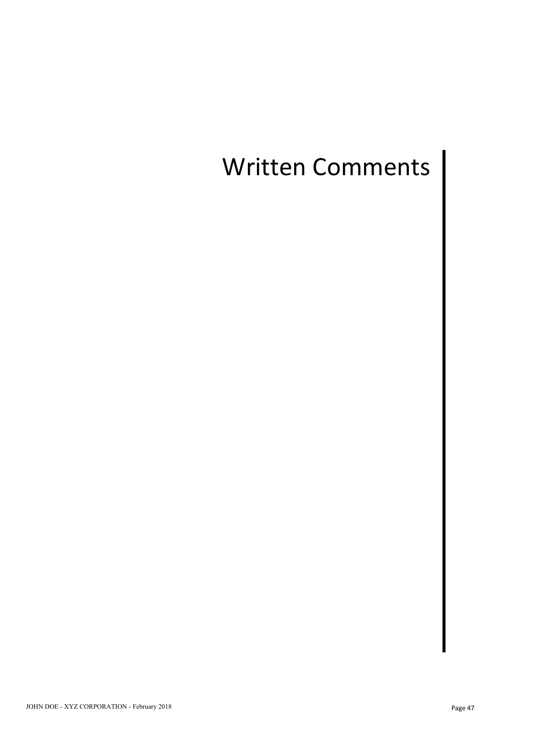# Written Comments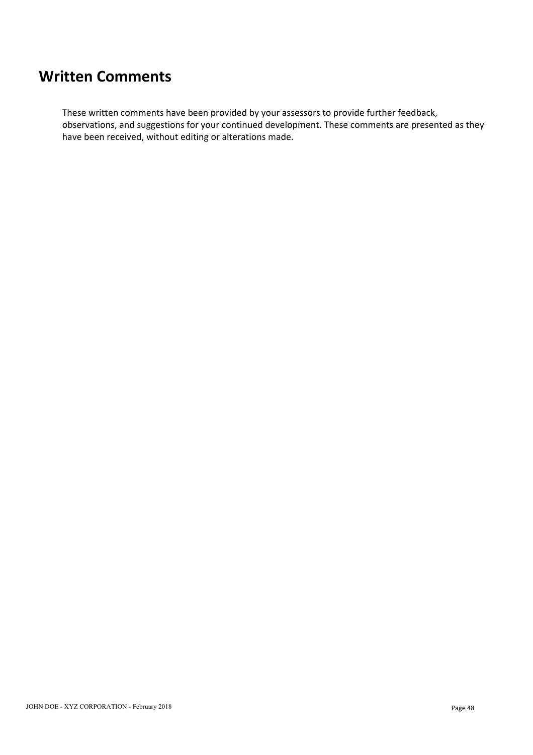## **Written Comments**

These written comments have been provided by your assessors to provide further feedback, observations, and suggestions for your continued development. These comments are presented as they have been received, without editing or alterations made.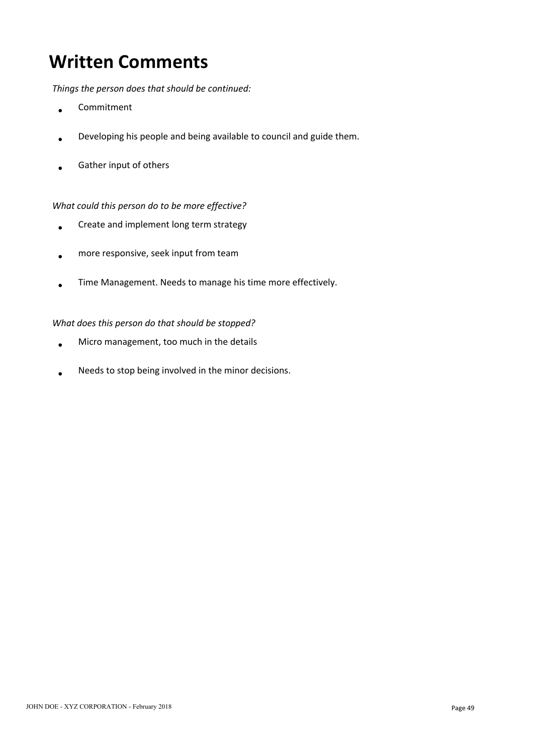# **Written Comments**

*Things the person does that should be continued:*

- Commitment  $\overline{\phantom{a}}$
- Developing his people and being available to council and guide them.
- Gather input of others

### *What could this person do to be more effective?*

- Create and implement long term strategy
- more responsive, seek input from team
- Time Management. Needs to manage his time more effectively.

### *What does this person do that should be stopped?*

- Micro management, too much in the details
- Needs to stop being involved in the minor decisions.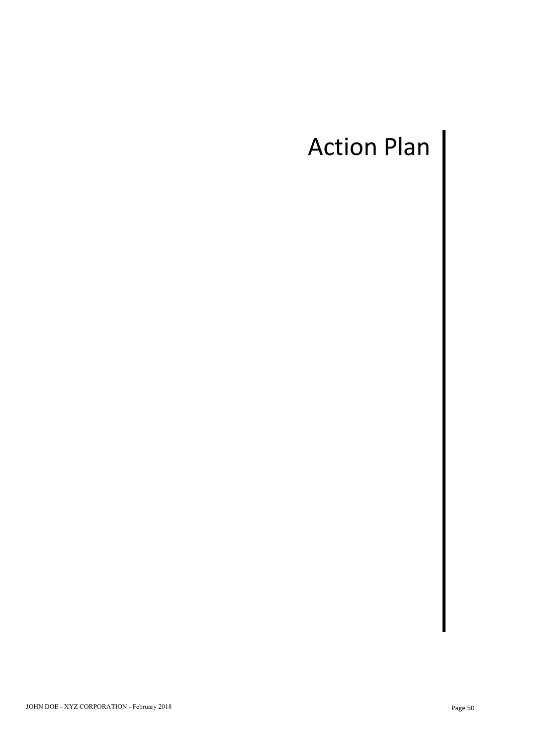# Action Plan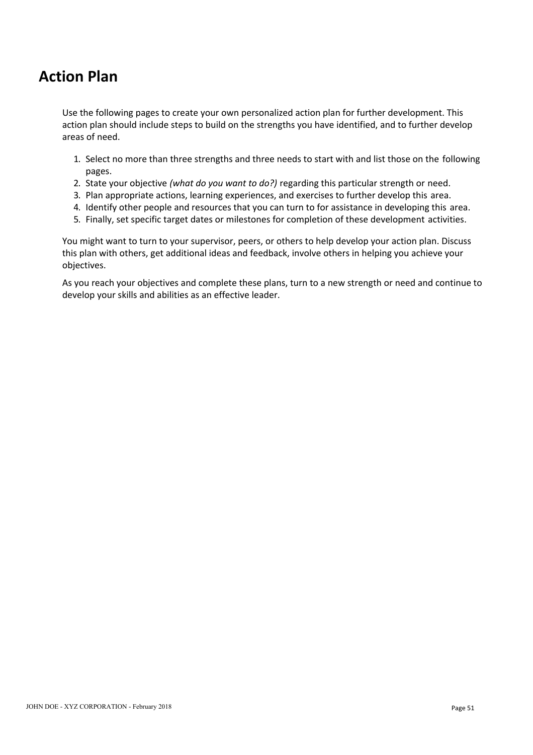## **Action Plan**

Use the following pages to create your own personalized action plan for further development. This action plan should include steps to build on the strengths you have identified, and to further develop areas of need.

- 1. Select no more than three strengths and three needs to start with and list those on the following pages.
- 2. State your objective *(what do you want to do?)* regarding this particular strength or need.
- 3. Plan appropriate actions, learning experiences, and exercises to further develop this area.
- 4. Identify other people and resources that you can turn to for assistance in developing this area.
- 5. Finally, set specific target dates or milestones for completion of these development activities.

You might want to turn to your supervisor, peers, or others to help develop your action plan. Discuss this plan with others, get additional ideas and feedback, involve others in helping you achieve your objectives.

As you reach your objectives and complete these plans, turn to a new strength or need and continue to develop your skills and abilities as an effective leader.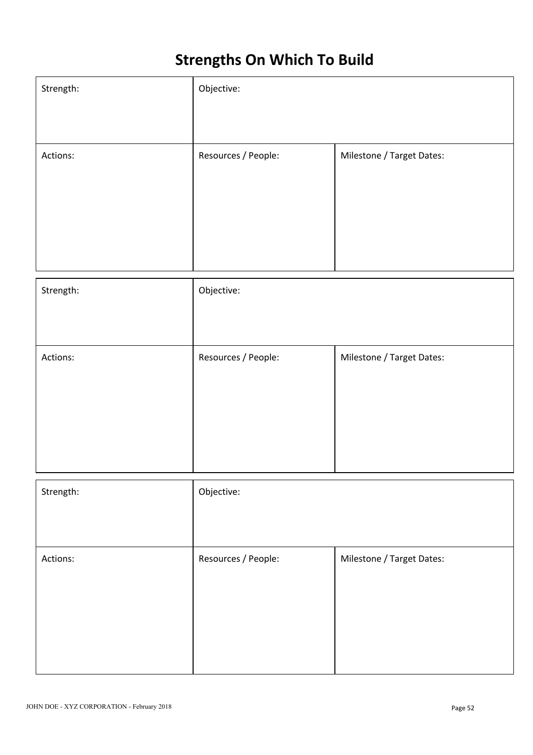# **Strengths On Which To Build**

| Strength: | Objective:          |                           |
|-----------|---------------------|---------------------------|
|           |                     |                           |
| Actions:  | Resources / People: | Milestone / Target Dates: |
|           |                     |                           |
|           |                     |                           |
|           |                     |                           |
|           |                     |                           |
|           |                     |                           |
| Strength: | Objective:          |                           |
|           |                     |                           |
|           |                     |                           |
| Actions:  | Resources / People: | Milestone / Target Dates: |
|           |                     |                           |
|           |                     |                           |
|           |                     |                           |
|           |                     |                           |
|           |                     |                           |
| Strength: | Objective:          |                           |
|           |                     |                           |
|           |                     |                           |
| Actions:  | Resources / People: | Milestone / Target Dates: |
|           |                     |                           |
|           |                     |                           |
|           |                     |                           |
|           |                     |                           |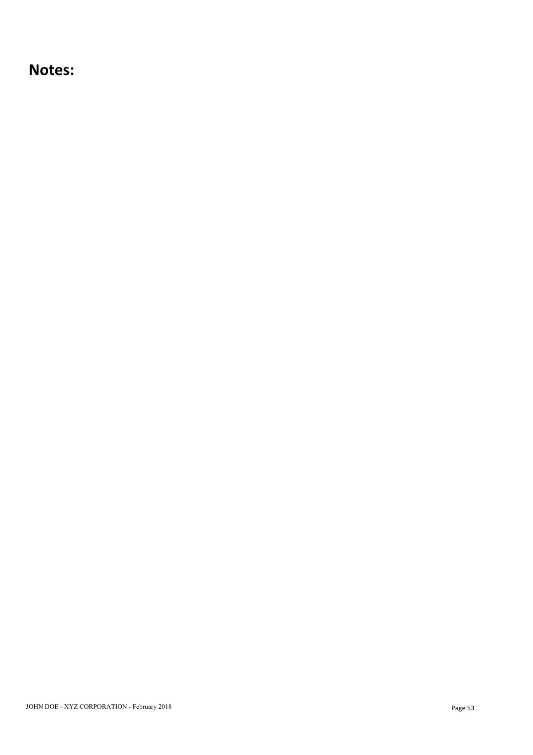### **Notes:**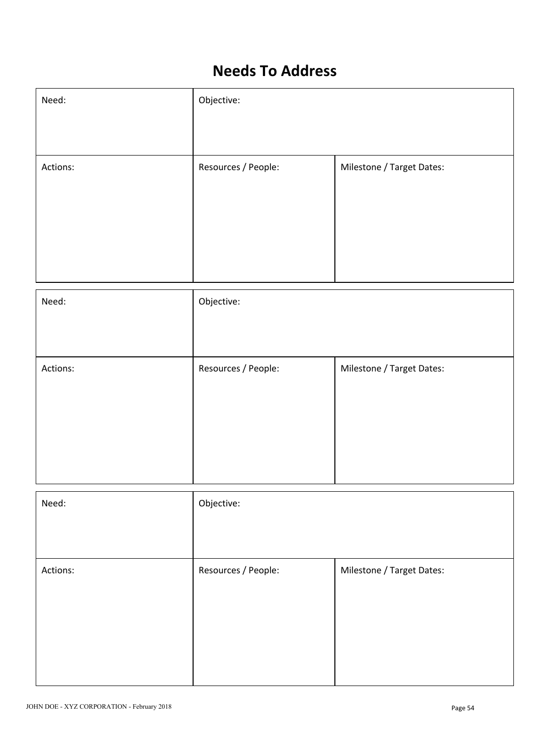# **Needs To Address**

| Need:    | Objective:          |                           |  |
|----------|---------------------|---------------------------|--|
|          |                     |                           |  |
| Actions: | Resources / People: | Milestone / Target Dates: |  |
|          |                     |                           |  |
|          |                     |                           |  |
|          |                     |                           |  |
|          |                     |                           |  |

| Need:    | Objective:          |                           |
|----------|---------------------|---------------------------|
|          |                     |                           |
| Actions: | Resources / People: | Milestone / Target Dates: |
|          |                     |                           |
| Need:    | Objective:          |                           |
|          |                     |                           |
| Actions: | Resources / People: | Milestone / Target Dates: |